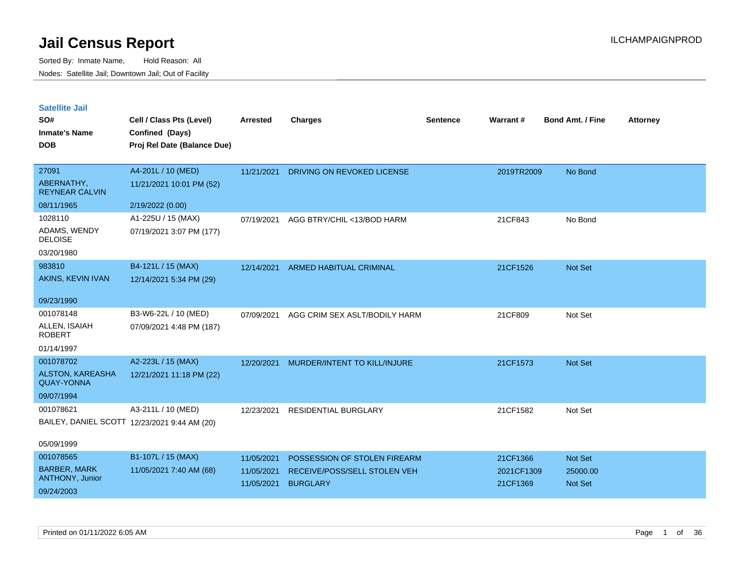| <b>Satellite Jail</b> |  |
|-----------------------|--|
|                       |  |

| SO#<br><b>Inmate's Name</b><br><b>DOB</b> | Cell / Class Pts (Level)<br>Confined (Days)<br>Proj Rel Date (Balance Due) | Arrested   | <b>Charges</b>                 | <b>Sentence</b> | <b>Warrant#</b> | <b>Bond Amt. / Fine</b> | <b>Attorney</b> |
|-------------------------------------------|----------------------------------------------------------------------------|------------|--------------------------------|-----------------|-----------------|-------------------------|-----------------|
|                                           |                                                                            |            |                                |                 |                 |                         |                 |
| 27091                                     | A4-201L / 10 (MED)                                                         | 11/21/2021 | DRIVING ON REVOKED LICENSE     |                 | 2019TR2009      | No Bond                 |                 |
| ABERNATHY,<br><b>REYNEAR CALVIN</b>       | 11/21/2021 10:01 PM (52)                                                   |            |                                |                 |                 |                         |                 |
| 08/11/1965                                | 2/19/2022 (0.00)                                                           |            |                                |                 |                 |                         |                 |
| 1028110                                   | A1-225U / 15 (MAX)                                                         | 07/19/2021 | AGG BTRY/CHIL <13/BOD HARM     |                 | 21CF843         | No Bond                 |                 |
| ADAMS, WENDY<br><b>DELOISE</b>            | 07/19/2021 3:07 PM (177)                                                   |            |                                |                 |                 |                         |                 |
| 03/20/1980                                |                                                                            |            |                                |                 |                 |                         |                 |
| 983810                                    | B4-121L / 15 (MAX)                                                         | 12/14/2021 | <b>ARMED HABITUAL CRIMINAL</b> |                 | 21CF1526        | Not Set                 |                 |
| AKINS, KEVIN IVAN                         | 12/14/2021 5:34 PM (29)                                                    |            |                                |                 |                 |                         |                 |
| 09/23/1990                                |                                                                            |            |                                |                 |                 |                         |                 |
| 001078148                                 | B3-W6-22L / 10 (MED)                                                       | 07/09/2021 | AGG CRIM SEX ASLT/BODILY HARM  |                 | 21CF809         | Not Set                 |                 |
| ALLEN, ISAIAH<br><b>ROBERT</b>            | 07/09/2021 4:48 PM (187)                                                   |            |                                |                 |                 |                         |                 |
| 01/14/1997                                |                                                                            |            |                                |                 |                 |                         |                 |
| 001078702                                 | A2-223L / 15 (MAX)                                                         | 12/20/2021 | MURDER/INTENT TO KILL/INJURE   |                 | 21CF1573        | Not Set                 |                 |
| ALSTON, KAREASHA<br><b>QUAY-YONNA</b>     | 12/21/2021 11:18 PM (22)                                                   |            |                                |                 |                 |                         |                 |
| 09/07/1994                                |                                                                            |            |                                |                 |                 |                         |                 |
| 001078621                                 | A3-211L / 10 (MED)                                                         | 12/23/2021 | <b>RESIDENTIAL BURGLARY</b>    |                 | 21CF1582        | Not Set                 |                 |
|                                           | BAILEY, DANIEL SCOTT 12/23/2021 9:44 AM (20)                               |            |                                |                 |                 |                         |                 |
| 05/09/1999                                |                                                                            |            |                                |                 |                 |                         |                 |
| 001078565                                 | B1-107L / 15 (MAX)                                                         | 11/05/2021 | POSSESSION OF STOLEN FIREARM   |                 | 21CF1366        | Not Set                 |                 |
| <b>BARBER, MARK</b><br>ANTHONY, Junior    | 11/05/2021 7:40 AM (68)                                                    | 11/05/2021 | RECEIVE/POSS/SELL STOLEN VEH   |                 | 2021CF1309      | 25000.00                |                 |
| 09/24/2003                                |                                                                            | 11/05/2021 | <b>BURGLARY</b>                |                 | 21CF1369        | Not Set                 |                 |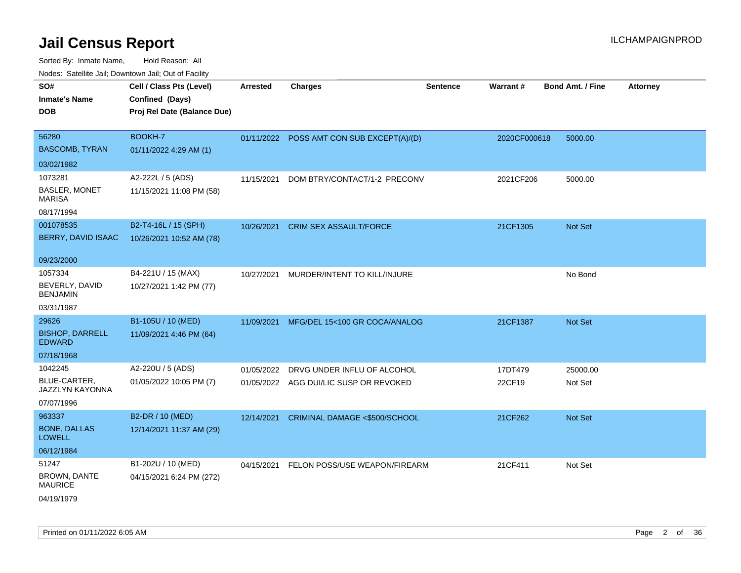| SO#<br><b>Inmate's Name</b><br><b>DOB</b>    | Cell / Class Pts (Level)<br>Confined (Days)<br>Proj Rel Date (Balance Due) | <b>Arrested</b> | <b>Charges</b>                            | <b>Sentence</b> | Warrant#     | <b>Bond Amt. / Fine</b> | <b>Attorney</b> |
|----------------------------------------------|----------------------------------------------------------------------------|-----------------|-------------------------------------------|-----------------|--------------|-------------------------|-----------------|
| 56280<br><b>BASCOMB, TYRAN</b>               | BOOKH-7<br>01/11/2022 4:29 AM (1)                                          |                 | 01/11/2022 POSS AMT CON SUB EXCEPT(A)/(D) |                 | 2020CF000618 | 5000.00                 |                 |
| 03/02/1982                                   |                                                                            |                 |                                           |                 |              |                         |                 |
| 1073281                                      | A2-222L / 5 (ADS)                                                          | 11/15/2021      | DOM BTRY/CONTACT/1-2 PRECONV              |                 | 2021CF206    | 5000.00                 |                 |
| <b>BASLER, MONET</b><br><b>MARISA</b>        | 11/15/2021 11:08 PM (58)                                                   |                 |                                           |                 |              |                         |                 |
| 08/17/1994                                   |                                                                            |                 |                                           |                 |              |                         |                 |
| 001078535<br>BERRY, DAVID ISAAC              | B2-T4-16L / 15 (SPH)<br>10/26/2021 10:52 AM (78)                           | 10/26/2021      | <b>CRIM SEX ASSAULT/FORCE</b>             |                 | 21CF1305     | Not Set                 |                 |
| 09/23/2000                                   |                                                                            |                 |                                           |                 |              |                         |                 |
| 1057334<br>BEVERLY, DAVID<br><b>BENJAMIN</b> | B4-221U / 15 (MAX)<br>10/27/2021 1:42 PM (77)                              | 10/27/2021      | MURDER/INTENT TO KILL/INJURE              |                 |              | No Bond                 |                 |
| 03/31/1987                                   |                                                                            |                 |                                           |                 |              |                         |                 |
| 29626                                        | B1-105U / 10 (MED)                                                         | 11/09/2021      | MFG/DEL 15<100 GR COCA/ANALOG             |                 | 21CF1387     | Not Set                 |                 |
| <b>BISHOP, DARRELL</b><br><b>EDWARD</b>      | 11/09/2021 4:46 PM (64)                                                    |                 |                                           |                 |              |                         |                 |
| 07/18/1968                                   |                                                                            |                 |                                           |                 |              |                         |                 |
| 1042245                                      | A2-220U / 5 (ADS)                                                          | 01/05/2022      | DRVG UNDER INFLU OF ALCOHOL               |                 | 17DT479      | 25000.00                |                 |
| <b>BLUE-CARTER,</b><br>JAZZLYN KAYONNA       | 01/05/2022 10:05 PM (7)                                                    |                 | 01/05/2022 AGG DUI/LIC SUSP OR REVOKED    |                 | 22CF19       | Not Set                 |                 |
| 07/07/1996                                   |                                                                            |                 |                                           |                 |              |                         |                 |
| 963337                                       | B2-DR / 10 (MED)                                                           | 12/14/2021      | <b>CRIMINAL DAMAGE &lt;\$500/SCHOOL</b>   |                 | 21CF262      | Not Set                 |                 |
| <b>BONE, DALLAS</b><br><b>LOWELL</b>         | 12/14/2021 11:37 AM (29)                                                   |                 |                                           |                 |              |                         |                 |
| 06/12/1984                                   |                                                                            |                 |                                           |                 |              |                         |                 |
| 51247                                        | B1-202U / 10 (MED)                                                         |                 | 04/15/2021 FELON POSS/USE WEAPON/FIREARM  |                 | 21CF411      | Not Set                 |                 |
| BROWN, DANTE<br><b>MAURICE</b>               | 04/15/2021 6:24 PM (272)                                                   |                 |                                           |                 |              |                         |                 |
| 04/19/1979                                   |                                                                            |                 |                                           |                 |              |                         |                 |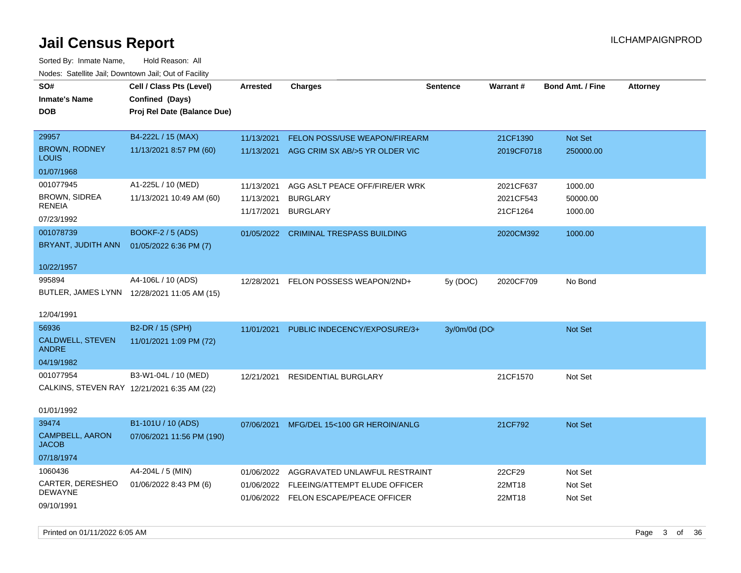| SO#<br><b>Inmate's Name</b><br><b>DOB</b>   | Cell / Class Pts (Level)<br>Confined (Days)<br>Proj Rel Date (Balance Due) | Arrested   | <b>Charges</b>                           | <b>Sentence</b> | Warrant#   | <b>Bond Amt. / Fine</b> | <b>Attorney</b> |
|---------------------------------------------|----------------------------------------------------------------------------|------------|------------------------------------------|-----------------|------------|-------------------------|-----------------|
| 29957                                       | B4-222L / 15 (MAX)                                                         | 11/13/2021 | FELON POSS/USE WEAPON/FIREARM            |                 | 21CF1390   | Not Set                 |                 |
| <b>BROWN, RODNEY</b><br>LOUIS               | 11/13/2021 8:57 PM (60)                                                    | 11/13/2021 | AGG CRIM SX AB/>5 YR OLDER VIC           |                 | 2019CF0718 | 250000.00               |                 |
| 01/07/1968                                  |                                                                            |            |                                          |                 |            |                         |                 |
| 001077945                                   | A1-225L / 10 (MED)                                                         | 11/13/2021 | AGG ASLT PEACE OFF/FIRE/ER WRK           |                 | 2021CF637  | 1000.00                 |                 |
| <b>BROWN, SIDREA</b><br><b>RENEIA</b>       | 11/13/2021 10:49 AM (60)                                                   | 11/13/2021 | <b>BURGLARY</b>                          |                 | 2021CF543  | 50000.00                |                 |
| 07/23/1992                                  |                                                                            | 11/17/2021 | <b>BURGLARY</b>                          |                 | 21CF1264   | 1000.00                 |                 |
| 001078739                                   | <b>BOOKF-2 / 5 (ADS)</b>                                                   |            | 01/05/2022 CRIMINAL TRESPASS BUILDING    |                 | 2020CM392  | 1000.00                 |                 |
| BRYANT, JUDITH ANN                          | 01/05/2022 6:36 PM (7)                                                     |            |                                          |                 |            |                         |                 |
| 10/22/1957                                  |                                                                            |            |                                          |                 |            |                         |                 |
| 995894                                      | A4-106L / 10 (ADS)                                                         | 12/28/2021 | FELON POSSESS WEAPON/2ND+                | 5y (DOC)        | 2020CF709  | No Bond                 |                 |
|                                             | BUTLER, JAMES LYNN 12/28/2021 11:05 AM (15)                                |            |                                          |                 |            |                         |                 |
| 12/04/1991                                  |                                                                            |            |                                          |                 |            |                         |                 |
| 56936                                       | B2-DR / 15 (SPH)                                                           | 11/01/2021 | PUBLIC INDECENCY/EXPOSURE/3+             | 3y/0m/0d (DO    |            | Not Set                 |                 |
| CALDWELL, STEVEN<br><b>ANDRE</b>            | 11/01/2021 1:09 PM (72)                                                    |            |                                          |                 |            |                         |                 |
| 04/19/1982                                  |                                                                            |            |                                          |                 |            |                         |                 |
| 001077954                                   | B3-W1-04L / 10 (MED)                                                       | 12/21/2021 | <b>RESIDENTIAL BURGLARY</b>              |                 | 21CF1570   | Not Set                 |                 |
| CALKINS, STEVEN RAY 12/21/2021 6:35 AM (22) |                                                                            |            |                                          |                 |            |                         |                 |
| 01/01/1992                                  |                                                                            |            |                                          |                 |            |                         |                 |
| 39474                                       | B1-101U / 10 (ADS)                                                         | 07/06/2021 | MFG/DEL 15<100 GR HEROIN/ANLG            |                 | 21CF792    | Not Set                 |                 |
| <b>CAMPBELL, AARON</b><br><b>JACOB</b>      | 07/06/2021 11:56 PM (190)                                                  |            |                                          |                 |            |                         |                 |
| 07/18/1974                                  |                                                                            |            |                                          |                 |            |                         |                 |
| 1060436                                     | A4-204L / 5 (MIN)                                                          | 01/06/2022 | AGGRAVATED UNLAWFUL RESTRAINT            |                 | 22CF29     | Not Set                 |                 |
| CARTER, DERESHEO<br>DEWAYNE                 | 01/06/2022 8:43 PM (6)                                                     |            | 01/06/2022 FLEEING/ATTEMPT ELUDE OFFICER |                 | 22MT18     | Not Set                 |                 |
| 09/10/1991                                  |                                                                            |            | 01/06/2022 FELON ESCAPE/PEACE OFFICER    |                 | 22MT18     | Not Set                 |                 |
|                                             |                                                                            |            |                                          |                 |            |                         |                 |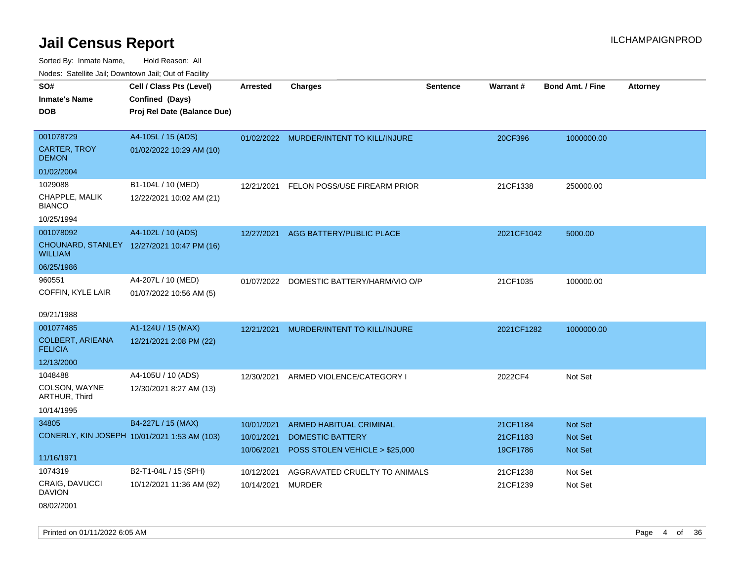Sorted By: Inmate Name, Hold Reason: All Nodes: Satellite Jail; Downtown Jail; Out of Facility

| rouco. Calcinic Jan, Downtown Jan, Out of Facility |                                              |                 |                                         |                 |                 |                         |                 |
|----------------------------------------------------|----------------------------------------------|-----------------|-----------------------------------------|-----------------|-----------------|-------------------------|-----------------|
| SO#<br>Inmate's Name                               | Cell / Class Pts (Level)<br>Confined (Days)  | <b>Arrested</b> | <b>Charges</b>                          | <b>Sentence</b> | <b>Warrant#</b> | <b>Bond Amt. / Fine</b> | <b>Attorney</b> |
| <b>DOB</b>                                         | Proj Rel Date (Balance Due)                  |                 |                                         |                 |                 |                         |                 |
| 001078729                                          | A4-105L / 15 (ADS)                           |                 | 01/02/2022 MURDER/INTENT TO KILL/INJURE |                 | 20CF396         | 1000000.00              |                 |
| CARTER, TROY<br>DEMON                              | 01/02/2022 10:29 AM (10)                     |                 |                                         |                 |                 |                         |                 |
| 01/02/2004                                         |                                              |                 |                                         |                 |                 |                         |                 |
| 1029088                                            | B1-104L / 10 (MED)                           | 12/21/2021      | FELON POSS/USE FIREARM PRIOR            |                 | 21CF1338        | 250000.00               |                 |
| CHAPPLE, MALIK<br><b>BIANCO</b>                    | 12/22/2021 10:02 AM (21)                     |                 |                                         |                 |                 |                         |                 |
| 10/25/1994                                         |                                              |                 |                                         |                 |                 |                         |                 |
| 001078092                                          | A4-102L / 10 (ADS)                           |                 | 12/27/2021 AGG BATTERY/PUBLIC PLACE     |                 | 2021CF1042      | 5000.00                 |                 |
| WILLIAM                                            | CHOUNARD, STANLEY 12/27/2021 10:47 PM (16)   |                 |                                         |                 |                 |                         |                 |
| 06/25/1986                                         |                                              |                 |                                         |                 |                 |                         |                 |
| 960551                                             | A4-207L / 10 (MED)                           | 01/07/2022      | DOMESTIC BATTERY/HARM/VIO O/P           |                 | 21CF1035        | 100000.00               |                 |
| COFFIN, KYLE LAIR                                  | 01/07/2022 10:56 AM (5)                      |                 |                                         |                 |                 |                         |                 |
| 09/21/1988                                         |                                              |                 |                                         |                 |                 |                         |                 |
| 001077485                                          | A1-124U / 15 (MAX)                           | 12/21/2021      | MURDER/INTENT TO KILL/INJURE            |                 | 2021CF1282      | 1000000.00              |                 |
| <b>COLBERT, ARIEANA</b><br><b>FELICIA</b>          | 12/21/2021 2:08 PM (22)                      |                 |                                         |                 |                 |                         |                 |
| 12/13/2000                                         |                                              |                 |                                         |                 |                 |                         |                 |
| 1048488                                            | A4-105U / 10 (ADS)                           | 12/30/2021      | ARMED VIOLENCE/CATEGORY I               |                 | 2022CF4         | Not Set                 |                 |
| COLSON, WAYNE<br><b>ARTHUR, Third</b>              | 12/30/2021 8:27 AM (13)                      |                 |                                         |                 |                 |                         |                 |
| 10/14/1995                                         |                                              |                 |                                         |                 |                 |                         |                 |
| 34805                                              | B4-227L / 15 (MAX)                           | 10/01/2021      | ARMED HABITUAL CRIMINAL                 |                 | 21CF1184        | <b>Not Set</b>          |                 |
|                                                    | CONERLY, KIN JOSEPH 10/01/2021 1:53 AM (103) | 10/01/2021      | <b>DOMESTIC BATTERY</b>                 |                 | 21CF1183        | <b>Not Set</b>          |                 |
|                                                    |                                              | 10/06/2021      | POSS STOLEN VEHICLE > \$25,000          |                 | 19CF1786        | <b>Not Set</b>          |                 |
| 11/16/1971                                         |                                              |                 |                                         |                 |                 |                         |                 |
| 1074319                                            | B2-T1-04L / 15 (SPH)                         | 10/12/2021      | AGGRAVATED CRUELTY TO ANIMALS           |                 | 21CF1238        | Not Set                 |                 |
| CRAIG, DAVUCCI<br>DAVION                           | 10/12/2021 11:36 AM (92)                     | 10/14/2021      | <b>MURDER</b>                           |                 | 21CF1239        | Not Set                 |                 |
|                                                    |                                              |                 |                                         |                 |                 |                         |                 |

08/02/2001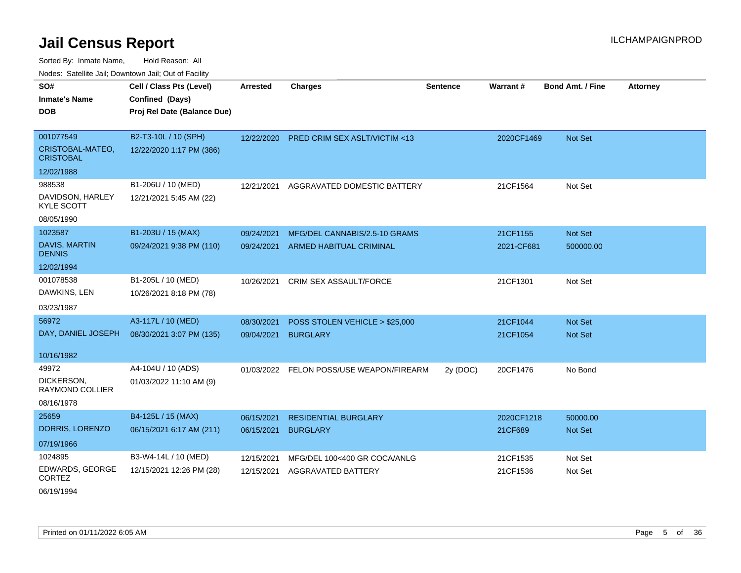| roaco. Catolino cali, Domntonn cali, Out of Facility |                             |                 |                                          |                 |            |                         |                 |
|------------------------------------------------------|-----------------------------|-----------------|------------------------------------------|-----------------|------------|-------------------------|-----------------|
| SO#                                                  | Cell / Class Pts (Level)    | <b>Arrested</b> | <b>Charges</b>                           | <b>Sentence</b> | Warrant#   | <b>Bond Amt. / Fine</b> | <b>Attorney</b> |
| <b>Inmate's Name</b>                                 | Confined (Days)             |                 |                                          |                 |            |                         |                 |
| <b>DOB</b>                                           | Proj Rel Date (Balance Due) |                 |                                          |                 |            |                         |                 |
|                                                      |                             |                 |                                          |                 |            |                         |                 |
| 001077549                                            | B2-T3-10L / 10 (SPH)        | 12/22/2020      | <b>PRED CRIM SEX ASLT/VICTIM &lt;13</b>  |                 | 2020CF1469 | Not Set                 |                 |
| CRISTOBAL-MATEO,<br><b>CRISTOBAL</b>                 | 12/22/2020 1:17 PM (386)    |                 |                                          |                 |            |                         |                 |
| 12/02/1988                                           |                             |                 |                                          |                 |            |                         |                 |
| 988538                                               | B1-206U / 10 (MED)          | 12/21/2021      | AGGRAVATED DOMESTIC BATTERY              |                 | 21CF1564   | Not Set                 |                 |
| DAVIDSON, HARLEY<br><b>KYLE SCOTT</b>                | 12/21/2021 5:45 AM (22)     |                 |                                          |                 |            |                         |                 |
| 08/05/1990                                           |                             |                 |                                          |                 |            |                         |                 |
| 1023587                                              | B1-203U / 15 (MAX)          | 09/24/2021      | MFG/DEL CANNABIS/2.5-10 GRAMS            |                 | 21CF1155   | Not Set                 |                 |
| <b>DAVIS, MARTIN</b><br><b>DENNIS</b>                | 09/24/2021 9:38 PM (110)    |                 | 09/24/2021 ARMED HABITUAL CRIMINAL       |                 | 2021-CF681 | 500000.00               |                 |
| 12/02/1994                                           |                             |                 |                                          |                 |            |                         |                 |
| 001078538                                            | B1-205L / 10 (MED)          | 10/26/2021      | <b>CRIM SEX ASSAULT/FORCE</b>            |                 | 21CF1301   | Not Set                 |                 |
| DAWKINS, LEN                                         | 10/26/2021 8:18 PM (78)     |                 |                                          |                 |            |                         |                 |
| 03/23/1987                                           |                             |                 |                                          |                 |            |                         |                 |
| 56972                                                | A3-117L / 10 (MED)          | 08/30/2021      | POSS STOLEN VEHICLE > \$25,000           |                 | 21CF1044   | Not Set                 |                 |
| DAY, DANIEL JOSEPH                                   | 08/30/2021 3:07 PM (135)    | 09/04/2021      | <b>BURGLARY</b>                          |                 | 21CF1054   | Not Set                 |                 |
| 10/16/1982                                           |                             |                 |                                          |                 |            |                         |                 |
| 49972                                                | A4-104U / 10 (ADS)          |                 | 01/03/2022 FELON POSS/USE WEAPON/FIREARM | 2y (DOC)        | 20CF1476   | No Bond                 |                 |
| DICKERSON,<br><b>RAYMOND COLLIER</b>                 | 01/03/2022 11:10 AM (9)     |                 |                                          |                 |            |                         |                 |
| 08/16/1978                                           |                             |                 |                                          |                 |            |                         |                 |
| 25659                                                | B4-125L / 15 (MAX)          | 06/15/2021      | <b>RESIDENTIAL BURGLARY</b>              |                 | 2020CF1218 | 50000.00                |                 |
| DORRIS, LORENZO                                      | 06/15/2021 6:17 AM (211)    | 06/15/2021      | <b>BURGLARY</b>                          |                 | 21CF689    | Not Set                 |                 |
| 07/19/1966                                           |                             |                 |                                          |                 |            |                         |                 |
| 1024895                                              | B3-W4-14L / 10 (MED)        | 12/15/2021      | MFG/DEL 100<400 GR COCA/ANLG             |                 | 21CF1535   | Not Set                 |                 |
| <b>EDWARDS, GEORGE</b><br><b>CORTEZ</b>              | 12/15/2021 12:26 PM (28)    | 12/15/2021      | <b>AGGRAVATED BATTERY</b>                |                 | 21CF1536   | Not Set                 |                 |
| 06/19/1994                                           |                             |                 |                                          |                 |            |                         |                 |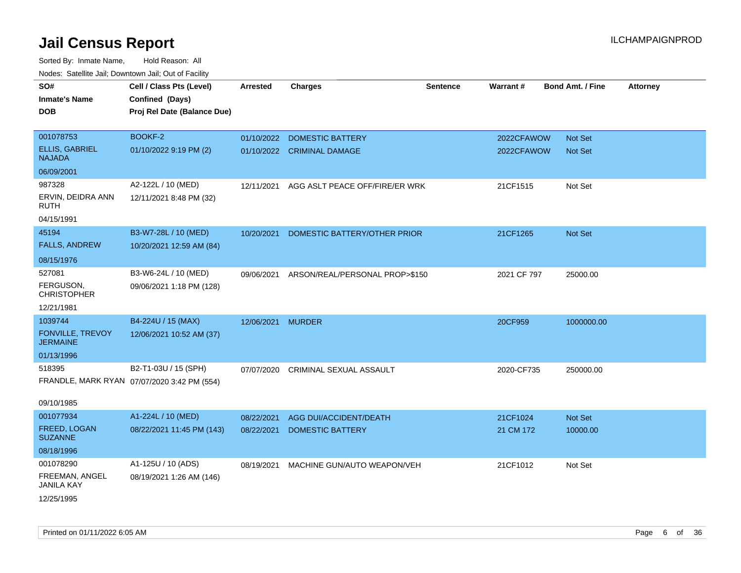| SO#<br><b>Inmate's Name</b><br><b>DOB</b> | Cell / Class Pts (Level)<br>Confined (Days)<br>Proj Rel Date (Balance Due) | <b>Arrested</b>   | <b>Charges</b>                 | <b>Sentence</b> | Warrant#    | <b>Bond Amt. / Fine</b> |                | <b>Attorney</b> |
|-------------------------------------------|----------------------------------------------------------------------------|-------------------|--------------------------------|-----------------|-------------|-------------------------|----------------|-----------------|
|                                           |                                                                            |                   |                                |                 |             |                         |                |                 |
| 001078753                                 | BOOKF-2                                                                    | 01/10/2022        | <b>DOMESTIC BATTERY</b>        |                 | 2022CFAWOW  |                         | Not Set        |                 |
| <b>ELLIS, GABRIEL</b><br><b>NAJADA</b>    | 01/10/2022 9:19 PM (2)                                                     |                   | 01/10/2022 CRIMINAL DAMAGE     |                 | 2022CFAWOW  |                         | <b>Not Set</b> |                 |
| 06/09/2001                                |                                                                            |                   |                                |                 |             |                         |                |                 |
| 987328                                    | A2-122L / 10 (MED)                                                         | 12/11/2021        | AGG ASLT PEACE OFF/FIRE/ER WRK |                 | 21CF1515    |                         | Not Set        |                 |
| ERVIN, DEIDRA ANN<br><b>RUTH</b>          | 12/11/2021 8:48 PM (32)                                                    |                   |                                |                 |             |                         |                |                 |
| 04/15/1991                                |                                                                            |                   |                                |                 |             |                         |                |                 |
| 45194                                     | B3-W7-28L / 10 (MED)                                                       | 10/20/2021        | DOMESTIC BATTERY/OTHER PRIOR   |                 | 21CF1265    |                         | Not Set        |                 |
| <b>FALLS, ANDREW</b>                      | 10/20/2021 12:59 AM (84)                                                   |                   |                                |                 |             |                         |                |                 |
| 08/15/1976                                |                                                                            |                   |                                |                 |             |                         |                |                 |
| 527081                                    | B3-W6-24L / 10 (MED)                                                       | 09/06/2021        | ARSON/REAL/PERSONAL PROP>\$150 |                 | 2021 CF 797 |                         | 25000.00       |                 |
| FERGUSON,<br><b>CHRISTOPHER</b>           | 09/06/2021 1:18 PM (128)                                                   |                   |                                |                 |             |                         |                |                 |
| 12/21/1981                                |                                                                            |                   |                                |                 |             |                         |                |                 |
| 1039744                                   | B4-224U / 15 (MAX)                                                         | 12/06/2021 MURDER |                                |                 | 20CF959     |                         | 1000000.00     |                 |
| FONVILLE, TREVOY<br><b>JERMAINE</b>       | 12/06/2021 10:52 AM (37)                                                   |                   |                                |                 |             |                         |                |                 |
| 01/13/1996                                |                                                                            |                   |                                |                 |             |                         |                |                 |
| 518395                                    | B2-T1-03U / 15 (SPH)                                                       | 07/07/2020        | CRIMINAL SEXUAL ASSAULT        |                 | 2020-CF735  |                         | 250000.00      |                 |
|                                           | FRANDLE, MARK RYAN 07/07/2020 3:42 PM (554)                                |                   |                                |                 |             |                         |                |                 |
| 09/10/1985                                |                                                                            |                   |                                |                 |             |                         |                |                 |
| 001077934                                 | A1-224L / 10 (MED)                                                         | 08/22/2021        | AGG DUI/ACCIDENT/DEATH         |                 | 21CF1024    |                         | Not Set        |                 |
| FREED, LOGAN<br><b>SUZANNE</b>            | 08/22/2021 11:45 PM (143)                                                  | 08/22/2021        | <b>DOMESTIC BATTERY</b>        |                 | 21 CM 172   |                         | 10000.00       |                 |
| 08/18/1996                                |                                                                            |                   |                                |                 |             |                         |                |                 |
| 001078290                                 | A1-125U / 10 (ADS)                                                         | 08/19/2021        | MACHINE GUN/AUTO WEAPON/VEH    |                 | 21CF1012    |                         | Not Set        |                 |
| FREEMAN, ANGEL<br><b>JANILA KAY</b>       | 08/19/2021 1:26 AM (146)                                                   |                   |                                |                 |             |                         |                |                 |
| 12/25/1995                                |                                                                            |                   |                                |                 |             |                         |                |                 |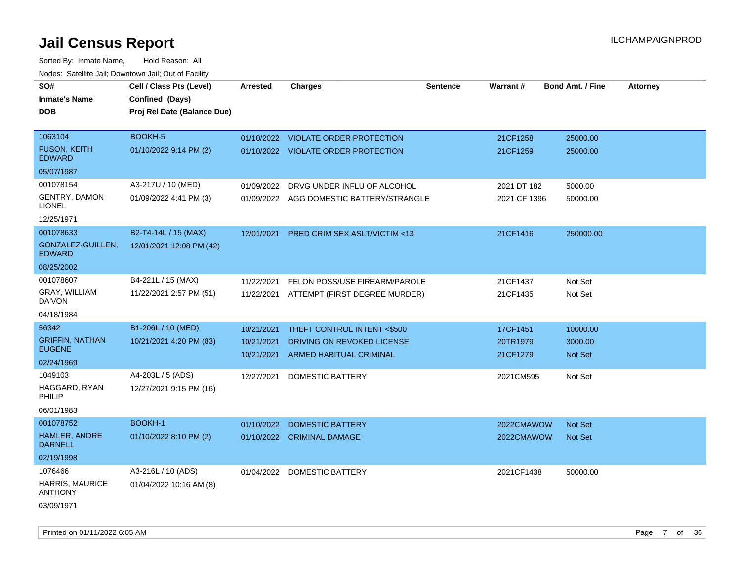| SO#                                      | Cell / Class Pts (Level)    | <b>Arrested</b> | <b>Charges</b>                           | <b>Sentence</b> | Warrant#     | <b>Bond Amt. / Fine</b> | <b>Attorney</b> |
|------------------------------------------|-----------------------------|-----------------|------------------------------------------|-----------------|--------------|-------------------------|-----------------|
| <b>Inmate's Name</b>                     | Confined (Days)             |                 |                                          |                 |              |                         |                 |
| <b>DOB</b>                               | Proj Rel Date (Balance Due) |                 |                                          |                 |              |                         |                 |
|                                          |                             |                 |                                          |                 |              |                         |                 |
| 1063104                                  | BOOKH-5                     |                 | 01/10/2022 VIOLATE ORDER PROTECTION      |                 | 21CF1258     | 25000.00                |                 |
| <b>FUSON, KEITH</b><br><b>EDWARD</b>     | 01/10/2022 9:14 PM (2)      |                 | 01/10/2022 VIOLATE ORDER PROTECTION      |                 | 21CF1259     | 25000.00                |                 |
| 05/07/1987                               |                             |                 |                                          |                 |              |                         |                 |
| 001078154                                | A3-217U / 10 (MED)          | 01/09/2022      | DRVG UNDER INFLU OF ALCOHOL              |                 | 2021 DT 182  | 5000.00                 |                 |
| GENTRY, DAMON<br><b>LIONEL</b>           | 01/09/2022 4:41 PM (3)      |                 | 01/09/2022 AGG DOMESTIC BATTERY/STRANGLE |                 | 2021 CF 1396 | 50000.00                |                 |
| 12/25/1971                               |                             |                 |                                          |                 |              |                         |                 |
| 001078633                                | B2-T4-14L / 15 (MAX)        | 12/01/2021      | PRED CRIM SEX ASLT/VICTIM <13            |                 | 21CF1416     | 250000.00               |                 |
| GONZALEZ-GUILLEN,<br><b>EDWARD</b>       | 12/01/2021 12:08 PM (42)    |                 |                                          |                 |              |                         |                 |
| 08/25/2002                               |                             |                 |                                          |                 |              |                         |                 |
| 001078607                                | B4-221L / 15 (MAX)          | 11/22/2021      | FELON POSS/USE FIREARM/PAROLE            |                 | 21CF1437     | Not Set                 |                 |
| GRAY, WILLIAM<br>DA'VON                  | 11/22/2021 2:57 PM (51)     | 11/22/2021      | ATTEMPT (FIRST DEGREE MURDER)            |                 | 21CF1435     | Not Set                 |                 |
| 04/18/1984                               |                             |                 |                                          |                 |              |                         |                 |
| 56342                                    | B1-206L / 10 (MED)          | 10/21/2021      | THEFT CONTROL INTENT <\$500              |                 | 17CF1451     | 10000.00                |                 |
| <b>GRIFFIN, NATHAN</b>                   | 10/21/2021 4:20 PM (83)     | 10/21/2021      | DRIVING ON REVOKED LICENSE               |                 | 20TR1979     | 3000.00                 |                 |
| <b>EUGENE</b>                            |                             | 10/21/2021      | ARMED HABITUAL CRIMINAL                  |                 | 21CF1279     | <b>Not Set</b>          |                 |
| 02/24/1969                               |                             |                 |                                          |                 |              |                         |                 |
| 1049103                                  | A4-203L / 5 (ADS)           | 12/27/2021      | <b>DOMESTIC BATTERY</b>                  |                 | 2021CM595    | Not Set                 |                 |
| HAGGARD, RYAN<br>PHILIP                  | 12/27/2021 9:15 PM (16)     |                 |                                          |                 |              |                         |                 |
| 06/01/1983                               |                             |                 |                                          |                 |              |                         |                 |
| 001078752                                | BOOKH-1                     | 01/10/2022      | <b>DOMESTIC BATTERY</b>                  |                 | 2022CMAWOW   | <b>Not Set</b>          |                 |
| HAMLER, ANDRE<br><b>DARNELL</b>          | 01/10/2022 8:10 PM (2)      |                 | 01/10/2022 CRIMINAL DAMAGE               |                 | 2022CMAWOW   | Not Set                 |                 |
| 02/19/1998                               |                             |                 |                                          |                 |              |                         |                 |
| 1076466                                  | A3-216L / 10 (ADS)          | 01/04/2022      | DOMESTIC BATTERY                         |                 | 2021CF1438   | 50000.00                |                 |
| <b>HARRIS, MAURICE</b><br><b>ANTHONY</b> | 01/04/2022 10:16 AM (8)     |                 |                                          |                 |              |                         |                 |
| 03/09/1971                               |                             |                 |                                          |                 |              |                         |                 |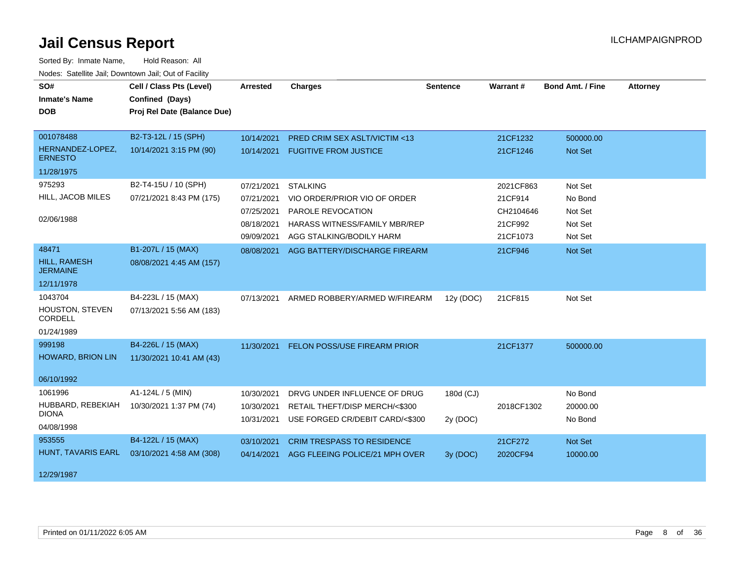| SO#<br><b>Inmate's Name</b><br><b>DOB</b>                     | Cell / Class Pts (Level)<br>Confined (Days)<br>Proj Rel Date (Balance Due) | <b>Arrested</b>                                                    | <b>Charges</b>                                                                                                                    | <b>Sentence</b>       | Warrant#                                                 | <b>Bond Amt. / Fine</b>                             | <b>Attorney</b> |
|---------------------------------------------------------------|----------------------------------------------------------------------------|--------------------------------------------------------------------|-----------------------------------------------------------------------------------------------------------------------------------|-----------------------|----------------------------------------------------------|-----------------------------------------------------|-----------------|
| 001078488<br>HERNANDEZ-LOPEZ,<br><b>ERNESTO</b><br>11/28/1975 | B2-T3-12L / 15 (SPH)<br>10/14/2021 3:15 PM (90)                            | 10/14/2021<br>10/14/2021                                           | <b>PRED CRIM SEX ASLT/VICTIM &lt;13</b><br><b>FUGITIVE FROM JUSTICE</b>                                                           |                       | 21CF1232<br>21CF1246                                     | 500000.00<br>Not Set                                |                 |
| 975293<br>HILL, JACOB MILES<br>02/06/1988                     | B2-T4-15U / 10 (SPH)<br>07/21/2021 8:43 PM (175)                           | 07/21/2021<br>07/21/2021<br>07/25/2021<br>08/18/2021<br>09/09/2021 | <b>STALKING</b><br>VIO ORDER/PRIOR VIO OF ORDER<br>PAROLE REVOCATION<br>HARASS WITNESS/FAMILY MBR/REP<br>AGG STALKING/BODILY HARM |                       | 2021CF863<br>21CF914<br>CH2104646<br>21CF992<br>21CF1073 | Not Set<br>No Bond<br>Not Set<br>Not Set<br>Not Set |                 |
| 48471<br><b>HILL, RAMESH</b><br><b>JERMAINE</b><br>12/11/1978 | B1-207L / 15 (MAX)<br>08/08/2021 4:45 AM (157)                             | 08/08/2021                                                         | AGG BATTERY/DISCHARGE FIREARM                                                                                                     |                       | 21CF946                                                  | <b>Not Set</b>                                      |                 |
| 1043704<br><b>HOUSTON, STEVEN</b><br>CORDELL<br>01/24/1989    | B4-223L / 15 (MAX)<br>07/13/2021 5:56 AM (183)                             | 07/13/2021                                                         | ARMED ROBBERY/ARMED W/FIREARM                                                                                                     | 12y (DOC)             | 21CF815                                                  | Not Set                                             |                 |
| 999198<br><b>HOWARD, BRION LIN</b><br>06/10/1992              | B4-226L / 15 (MAX)<br>11/30/2021 10:41 AM (43)                             | 11/30/2021                                                         | <b>FELON POSS/USE FIREARM PRIOR</b>                                                                                               |                       | 21CF1377                                                 | 500000.00                                           |                 |
| 1061996<br>HUBBARD, REBEKIAH<br><b>DIONA</b><br>04/08/1998    | A1-124L / 5 (MIN)<br>10/30/2021 1:37 PM (74)                               | 10/30/2021<br>10/30/2021<br>10/31/2021                             | DRVG UNDER INFLUENCE OF DRUG<br>RETAIL THEFT/DISP MERCH/<\$300<br>USE FORGED CR/DEBIT CARD/<\$300                                 | 180d (CJ)<br>2y (DOC) | 2018CF1302                                               | No Bond<br>20000.00<br>No Bond                      |                 |
| 953555<br>HUNT, TAVARIS EARL<br>12/29/1987                    | B4-122L / 15 (MAX)<br>03/10/2021 4:58 AM (308)                             | 03/10/2021<br>04/14/2021                                           | CRIM TRESPASS TO RESIDENCE<br>AGG FLEEING POLICE/21 MPH OVER                                                                      | 3y(DOC)               | 21CF272<br>2020CF94                                      | Not Set<br>10000.00                                 |                 |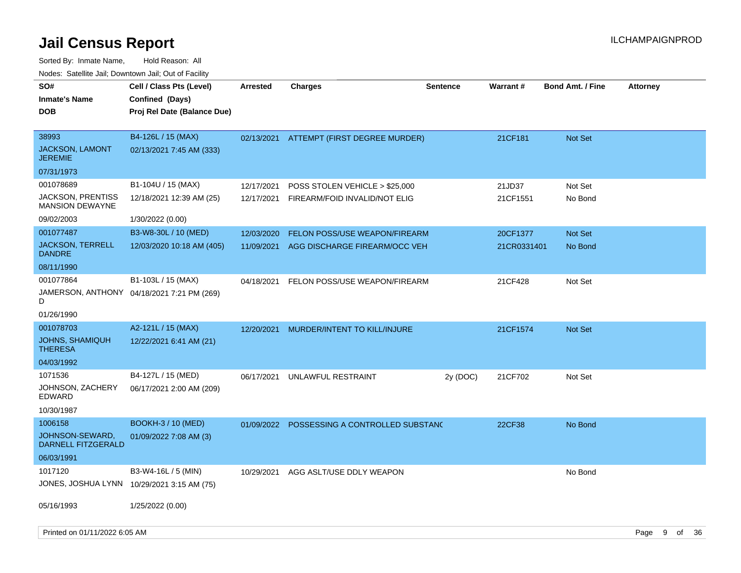| SO#<br><b>Inmate's Name</b><br><b>DOB</b>                           | Cell / Class Pts (Level)<br>Confined (Days)<br>Proj Rel Date (Balance Due) | <b>Arrested</b> | <b>Charges</b>                           | <b>Sentence</b> | <b>Warrant#</b> | <b>Bond Amt. / Fine</b> | <b>Attorney</b> |    |      |
|---------------------------------------------------------------------|----------------------------------------------------------------------------|-----------------|------------------------------------------|-----------------|-----------------|-------------------------|-----------------|----|------|
| 38993<br><b>JACKSON, LAMONT</b><br><b>JEREMIE</b>                   | B4-126L / 15 (MAX)<br>02/13/2021 7:45 AM (333)                             | 02/13/2021      | ATTEMPT (FIRST DEGREE MURDER)            |                 | 21CF181         | Not Set                 |                 |    |      |
| 07/31/1973                                                          |                                                                            |                 |                                          |                 |                 |                         |                 |    |      |
| 001078689                                                           | B1-104U / 15 (MAX)                                                         | 12/17/2021      | POSS STOLEN VEHICLE > \$25,000           |                 | 21JD37          | Not Set                 |                 |    |      |
| <b>JACKSON, PRENTISS</b><br><b>MANSION DEWAYNE</b>                  | 12/18/2021 12:39 AM (25)                                                   |                 | 12/17/2021 FIREARM/FOID INVALID/NOT ELIG |                 | 21CF1551        | No Bond                 |                 |    |      |
| 09/02/2003                                                          | 1/30/2022 (0.00)                                                           |                 |                                          |                 |                 |                         |                 |    |      |
| 001077487                                                           | B3-W8-30L / 10 (MED)                                                       | 12/03/2020      | <b>FELON POSS/USE WEAPON/FIREARM</b>     |                 | 20CF1377        | <b>Not Set</b>          |                 |    |      |
| <b>JACKSON, TERRELL</b><br><b>DANDRE</b>                            | 12/03/2020 10:18 AM (405)                                                  | 11/09/2021      | AGG DISCHARGE FIREARM/OCC VEH            |                 | 21CR0331401     | No Bond                 |                 |    |      |
| 08/11/1990                                                          |                                                                            |                 |                                          |                 |                 |                         |                 |    |      |
| 001077864<br>D                                                      | B1-103L / 15 (MAX)<br>JAMERSON, ANTHONY 04/18/2021 7:21 PM (269)           | 04/18/2021      | FELON POSS/USE WEAPON/FIREARM            |                 | 21CF428         | Not Set                 |                 |    |      |
| 01/26/1990                                                          |                                                                            |                 |                                          |                 |                 |                         |                 |    |      |
| 001078703<br><b>JOHNS, SHAMIQUH</b><br><b>THERESA</b><br>04/03/1992 | A2-121L / 15 (MAX)<br>12/22/2021 6:41 AM (21)                              | 12/20/2021      | MURDER/INTENT TO KILL/INJURE             |                 | 21CF1574        | Not Set                 |                 |    |      |
| 1071536                                                             | B4-127L / 15 (MED)                                                         | 06/17/2021      | UNLAWFUL RESTRAINT                       | 2y (DOC)        | 21CF702         | Not Set                 |                 |    |      |
| JOHNSON, ZACHERY<br>EDWARD                                          | 06/17/2021 2:00 AM (209)                                                   |                 |                                          |                 |                 |                         |                 |    |      |
| 10/30/1987                                                          |                                                                            |                 |                                          |                 |                 |                         |                 |    |      |
| 1006158                                                             | <b>BOOKH-3/10 (MED)</b>                                                    | 01/09/2022      | POSSESSING A CONTROLLED SUBSTAND         |                 | 22CF38          | No Bond                 |                 |    |      |
| JOHNSON-SEWARD,<br>DARNELL FITZGERALD                               | 01/09/2022 7:08 AM (3)                                                     |                 |                                          |                 |                 |                         |                 |    |      |
| 06/03/1991                                                          |                                                                            |                 |                                          |                 |                 |                         |                 |    |      |
| 1017120                                                             | B3-W4-16L / 5 (MIN)                                                        | 10/29/2021      | AGG ASLT/USE DDLY WEAPON                 |                 |                 | No Bond                 |                 |    |      |
|                                                                     | JONES, JOSHUA LYNN 10/29/2021 3:15 AM (75)                                 |                 |                                          |                 |                 |                         |                 |    |      |
| 05/16/1993                                                          | 1/25/2022 (0.00)                                                           |                 |                                          |                 |                 |                         |                 |    |      |
| Printed on 01/11/2022 6:05 AM                                       |                                                                            |                 |                                          |                 |                 |                         | 9<br>Page       | of | - 36 |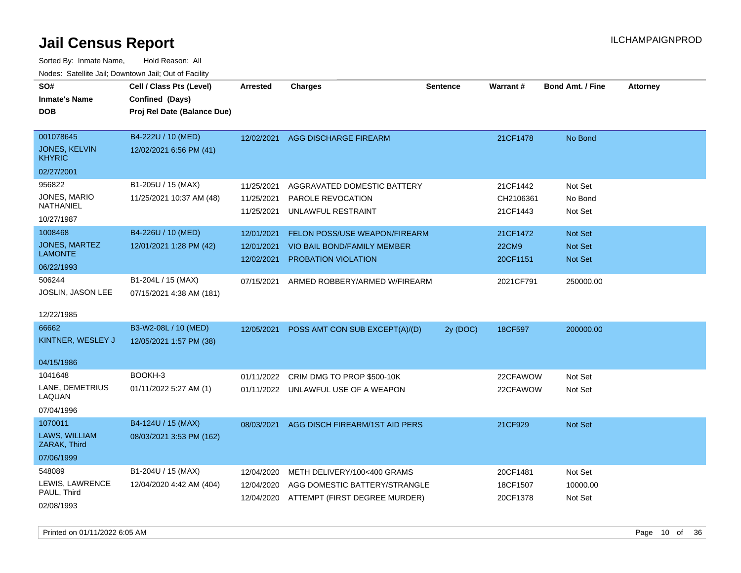| SO#<br><b>Inmate's Name</b><br>DOB                               | Cell / Class Pts (Level)<br>Confined (Days)<br>Proj Rel Date (Balance Due) | <b>Arrested</b>                        | <b>Charges</b>                                                                                           | <b>Sentence</b> | <b>Warrant#</b>                      | <b>Bond Amt. / Fine</b>                            | <b>Attorney</b> |
|------------------------------------------------------------------|----------------------------------------------------------------------------|----------------------------------------|----------------------------------------------------------------------------------------------------------|-----------------|--------------------------------------|----------------------------------------------------|-----------------|
| 001078645<br><b>JONES, KELVIN</b><br><b>KHYRIC</b>               | B4-222U / 10 (MED)<br>12/02/2021 6:56 PM (41)                              | 12/02/2021                             | AGG DISCHARGE FIREARM                                                                                    |                 | 21CF1478                             | No Bond                                            |                 |
| 02/27/2001                                                       |                                                                            |                                        |                                                                                                          |                 |                                      |                                                    |                 |
| 956822<br>JONES, MARIO<br><b>NATHANIEL</b><br>10/27/1987         | B1-205U / 15 (MAX)<br>11/25/2021 10:37 AM (48)                             | 11/25/2021<br>11/25/2021<br>11/25/2021 | AGGRAVATED DOMESTIC BATTERY<br>PAROLE REVOCATION<br>UNLAWFUL RESTRAINT                                   |                 | 21CF1442<br>CH2106361<br>21CF1443    | Not Set<br>No Bond<br>Not Set                      |                 |
| 1008468<br><b>JONES, MARTEZ</b><br><b>LAMONTE</b><br>06/22/1993  | B4-226U / 10 (MED)<br>12/01/2021 1:28 PM (42)                              | 12/01/2021<br>12/01/2021<br>12/02/2021 | FELON POSS/USE WEAPON/FIREARM<br><b>VIO BAIL BOND/FAMILY MEMBER</b><br>PROBATION VIOLATION               |                 | 21CF1472<br><b>22CM9</b><br>20CF1151 | <b>Not Set</b><br><b>Not Set</b><br><b>Not Set</b> |                 |
| 506244<br>JOSLIN, JASON LEE<br>12/22/1985                        | B1-204L / 15 (MAX)<br>07/15/2021 4:38 AM (181)                             | 07/15/2021                             | ARMED ROBBERY/ARMED W/FIREARM                                                                            |                 | 2021CF791                            | 250000.00                                          |                 |
| 66662<br>KINTNER, WESLEY J                                       | B3-W2-08L / 10 (MED)<br>12/05/2021 1:57 PM (38)                            | 12/05/2021                             | POSS AMT CON SUB EXCEPT(A)/(D)                                                                           | 2y (DOC)        | 18CF597                              | 200000.00                                          |                 |
| 04/15/1986<br>1041648<br>LANE, DEMETRIUS<br>LAQUAN<br>07/04/1996 | BOOKH-3<br>01/11/2022 5:27 AM (1)                                          | 01/11/2022                             | CRIM DMG TO PROP \$500-10K<br>01/11/2022 UNLAWFUL USE OF A WEAPON                                        |                 | 22CFAWOW<br>22CFAWOW                 | Not Set<br>Not Set                                 |                 |
| 1070011<br>LAWS, WILLIAM<br>ZARAK, Third<br>07/06/1999           | B4-124U / 15 (MAX)<br>08/03/2021 3:53 PM (162)                             | 08/03/2021                             | AGG DISCH FIREARM/1ST AID PERS                                                                           |                 | 21CF929                              | <b>Not Set</b>                                     |                 |
| 548089<br>LEWIS, LAWRENCE<br>PAUL, Third<br>02/08/1993           | B1-204U / 15 (MAX)<br>12/04/2020 4:42 AM (404)                             | 12/04/2020<br>12/04/2020               | METH DELIVERY/100<400 GRAMS<br>AGG DOMESTIC BATTERY/STRANGLE<br>12/04/2020 ATTEMPT (FIRST DEGREE MURDER) |                 | 20CF1481<br>18CF1507<br>20CF1378     | Not Set<br>10000.00<br>Not Set                     |                 |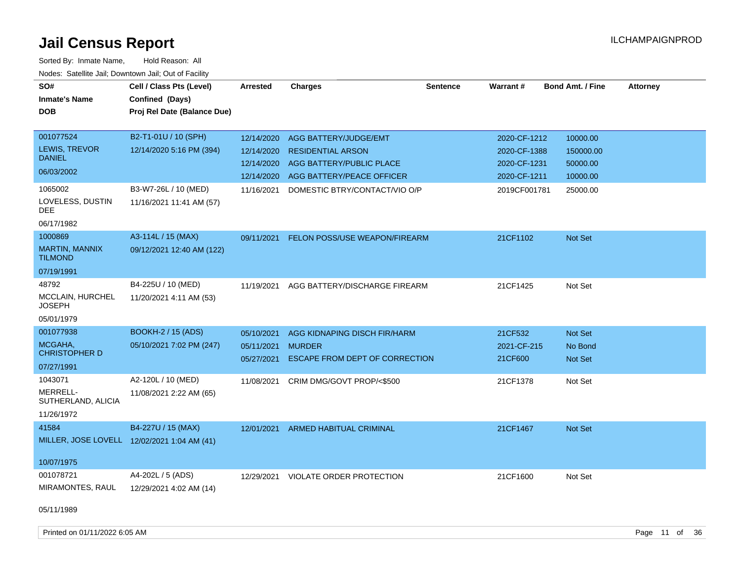| SO#<br><b>Inmate's Name</b><br><b>DOB</b>                            | Cell / Class Pts (Level)<br>Confined (Days)<br>Proj Rel Date (Balance Due) | <b>Arrested</b>                                      | <b>Charges</b>                                                                                                                                         | <b>Sentence</b> | <b>Warrant#</b>                                                              | <b>Bond Amt. / Fine</b>                                   | <b>Attorney</b> |
|----------------------------------------------------------------------|----------------------------------------------------------------------------|------------------------------------------------------|--------------------------------------------------------------------------------------------------------------------------------------------------------|-----------------|------------------------------------------------------------------------------|-----------------------------------------------------------|-----------------|
| 001077524<br>LEWIS, TREVOR<br><b>DANIEL</b><br>06/03/2002<br>1065002 | B2-T1-01U / 10 (SPH)<br>12/14/2020 5:16 PM (394)<br>B3-W7-26L / 10 (MED)   | 12/14/2020<br>12/14/2020<br>12/14/2020<br>11/16/2021 | AGG BATTERY/JUDGE/EMT<br><b>RESIDENTIAL ARSON</b><br>AGG BATTERY/PUBLIC PLACE<br>12/14/2020 AGG BATTERY/PEACE OFFICER<br>DOMESTIC BTRY/CONTACT/VIO O/P |                 | 2020-CF-1212<br>2020-CF-1388<br>2020-CF-1231<br>2020-CF-1211<br>2019CF001781 | 10000.00<br>150000.00<br>50000.00<br>10000.00<br>25000.00 |                 |
| LOVELESS, DUSTIN<br>DEE<br>06/17/1982                                | 11/16/2021 11:41 AM (57)                                                   |                                                      |                                                                                                                                                        |                 |                                                                              |                                                           |                 |
| 1000869<br>MARTIN, MANNIX<br><b>TILMOND</b><br>07/19/1991            | A3-114L / 15 (MAX)<br>09/12/2021 12:40 AM (122)                            | 09/11/2021                                           | FELON POSS/USE WEAPON/FIREARM                                                                                                                          |                 | 21CF1102                                                                     | Not Set                                                   |                 |
| 48792<br><b>MCCLAIN, HURCHEL</b><br>JOSEPH<br>05/01/1979             | B4-225U / 10 (MED)<br>11/20/2021 4:11 AM (53)                              | 11/19/2021                                           | AGG BATTERY/DISCHARGE FIREARM                                                                                                                          |                 | 21CF1425                                                                     | Not Set                                                   |                 |
| 001077938<br>MCGAHA,<br><b>CHRISTOPHER D</b><br>07/27/1991           | <b>BOOKH-2 / 15 (ADS)</b><br>05/10/2021 7:02 PM (247)                      | 05/10/2021<br>05/11/2021<br>05/27/2021               | AGG KIDNAPING DISCH FIR/HARM<br><b>MURDER</b><br><b>ESCAPE FROM DEPT OF CORRECTION</b>                                                                 |                 | 21CF532<br>2021-CF-215<br>21CF600                                            | Not Set<br>No Bond<br>Not Set                             |                 |
| 1043071<br>MERRELL-<br>SUTHERLAND, ALICIA<br>11/26/1972              | A2-120L / 10 (MED)<br>11/08/2021 2:22 AM (65)                              | 11/08/2021                                           | CRIM DMG/GOVT PROP/<\$500                                                                                                                              |                 | 21CF1378                                                                     | Not Set                                                   |                 |
| 41584<br>MILLER, JOSE LOVELL 12/02/2021 1:04 AM (41)<br>10/07/1975   | B4-227U / 15 (MAX)                                                         |                                                      | 12/01/2021 ARMED HABITUAL CRIMINAL                                                                                                                     |                 | 21CF1467                                                                     | Not Set                                                   |                 |
| 001078721<br>MIRAMONTES, RAUL<br>05/11/1989                          | A4-202L / 5 (ADS)<br>12/29/2021 4:02 AM (14)                               |                                                      | 12/29/2021 VIOLATE ORDER PROTECTION                                                                                                                    |                 | 21CF1600                                                                     | Not Set                                                   |                 |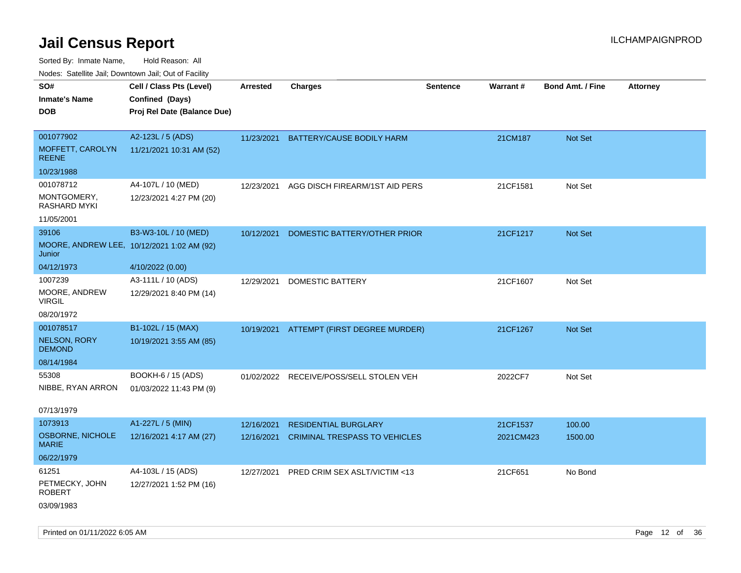Sorted By: Inmate Name, Hold Reason: All Nodes: Satellite Jail; Downtown Jail; Out of Facility

| ivouss. Saleling Jali, Downtown Jali, Out of Facility |                             |            |                                          |                 |                 |                         |                 |
|-------------------------------------------------------|-----------------------------|------------|------------------------------------------|-----------------|-----------------|-------------------------|-----------------|
| SO#                                                   | Cell / Class Pts (Level)    | Arrested   | <b>Charges</b>                           | <b>Sentence</b> | <b>Warrant#</b> | <b>Bond Amt. / Fine</b> | <b>Attorney</b> |
| <b>Inmate's Name</b>                                  | Confined (Days)             |            |                                          |                 |                 |                         |                 |
| <b>DOB</b>                                            | Proj Rel Date (Balance Due) |            |                                          |                 |                 |                         |                 |
|                                                       |                             |            |                                          |                 |                 |                         |                 |
| 001077902                                             | A2-123L / 5 (ADS)           | 11/23/2021 | <b>BATTERY/CAUSE BODILY HARM</b>         |                 | 21CM187         | Not Set                 |                 |
| MOFFETT, CAROLYN<br><b>REENE</b>                      | 11/21/2021 10:31 AM (52)    |            |                                          |                 |                 |                         |                 |
| 10/23/1988                                            |                             |            |                                          |                 |                 |                         |                 |
| 001078712                                             | A4-107L / 10 (MED)          | 12/23/2021 | AGG DISCH FIREARM/1ST AID PERS           |                 | 21CF1581        | Not Set                 |                 |
| MONTGOMERY,<br>RASHARD MYKI                           | 12/23/2021 4:27 PM (20)     |            |                                          |                 |                 |                         |                 |
| 11/05/2001                                            |                             |            |                                          |                 |                 |                         |                 |
| 39106                                                 | B3-W3-10L / 10 (MED)        | 10/12/2021 | DOMESTIC BATTERY/OTHER PRIOR             |                 | 21CF1217        | <b>Not Set</b>          |                 |
| MOORE, ANDREW LEE, 10/12/2021 1:02 AM (92)<br>Junior  |                             |            |                                          |                 |                 |                         |                 |
| 04/12/1973                                            | 4/10/2022 (0.00)            |            |                                          |                 |                 |                         |                 |
| 1007239                                               | A3-111L / 10 (ADS)          | 12/29/2021 | <b>DOMESTIC BATTERY</b>                  |                 | 21CF1607        | Not Set                 |                 |
| MOORE, ANDREW<br>VIRGIL                               | 12/29/2021 8:40 PM (14)     |            |                                          |                 |                 |                         |                 |
| 08/20/1972                                            |                             |            |                                          |                 |                 |                         |                 |
| 001078517                                             | B1-102L / 15 (MAX)          |            | 10/19/2021 ATTEMPT (FIRST DEGREE MURDER) |                 | 21CF1267        | <b>Not Set</b>          |                 |
| <b>NELSON, RORY</b><br><b>DEMOND</b>                  | 10/19/2021 3:55 AM (85)     |            |                                          |                 |                 |                         |                 |
| 08/14/1984                                            |                             |            |                                          |                 |                 |                         |                 |
| 55308                                                 | BOOKH-6 / 15 (ADS)          |            | 01/02/2022 RECEIVE/POSS/SELL STOLEN VEH  |                 | 2022CF7         | Not Set                 |                 |
| NIBBE, RYAN ARRON                                     | 01/03/2022 11:43 PM (9)     |            |                                          |                 |                 |                         |                 |
|                                                       |                             |            |                                          |                 |                 |                         |                 |
| 07/13/1979                                            |                             |            |                                          |                 |                 |                         |                 |
| 1073913                                               | A1-227L / 5 (MIN)           | 12/16/2021 | <b>RESIDENTIAL BURGLARY</b>              |                 | 21CF1537        | 100.00                  |                 |
| <b>OSBORNE, NICHOLE</b><br><b>MARIE</b>               | 12/16/2021 4:17 AM (27)     | 12/16/2021 | <b>CRIMINAL TRESPASS TO VEHICLES</b>     |                 | 2021CM423       | 1500.00                 |                 |
| 06/22/1979                                            |                             |            |                                          |                 |                 |                         |                 |
| 61251                                                 | A4-103L / 15 (ADS)          | 12/27/2021 | PRED CRIM SEX ASLT/VICTIM <13            |                 | 21CF651         | No Bond                 |                 |
| PETMECKY, JOHN<br><b>ROBERT</b>                       | 12/27/2021 1:52 PM (16)     |            |                                          |                 |                 |                         |                 |
| 03/09/1983                                            |                             |            |                                          |                 |                 |                         |                 |

Printed on 01/11/2022 6:05 AM Page 12 of 36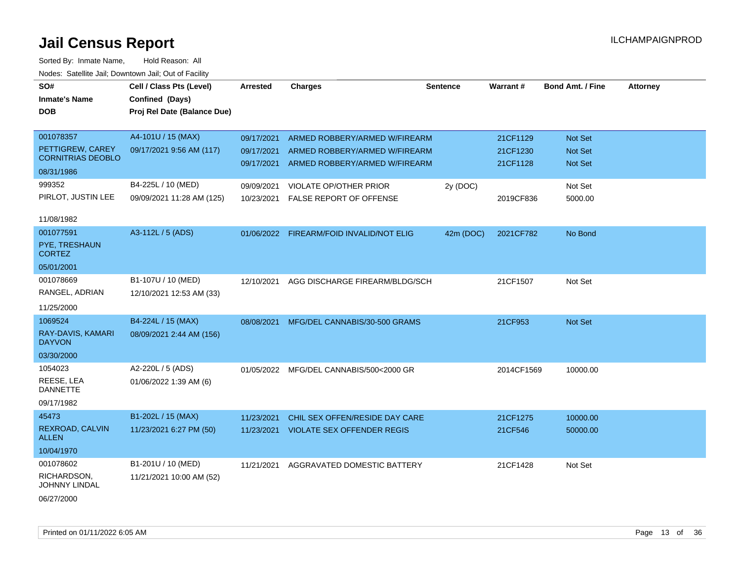| roaco. Oatomto dan, Downtown dan, Oat or Fability |                                                                            |            |                                         |           |            |                         |                 |
|---------------------------------------------------|----------------------------------------------------------------------------|------------|-----------------------------------------|-----------|------------|-------------------------|-----------------|
| SO#<br><b>Inmate's Name</b><br><b>DOB</b>         | Cell / Class Pts (Level)<br>Confined (Days)<br>Proj Rel Date (Balance Due) | Arrested   | <b>Charges</b>                          | Sentence  | Warrant#   | <b>Bond Amt. / Fine</b> | <b>Attorney</b> |
|                                                   |                                                                            |            |                                         |           |            |                         |                 |
| 001078357                                         | A4-101U / 15 (MAX)                                                         | 09/17/2021 | ARMED ROBBERY/ARMED W/FIREARM           |           | 21CF1129   | Not Set                 |                 |
| PETTIGREW, CAREY                                  | 09/17/2021 9:56 AM (117)                                                   | 09/17/2021 | ARMED ROBBERY/ARMED W/FIREARM           |           | 21CF1230   | Not Set                 |                 |
| <b>CORNITRIAS DEOBLO</b>                          |                                                                            | 09/17/2021 | ARMED ROBBERY/ARMED W/FIREARM           |           | 21CF1128   | <b>Not Set</b>          |                 |
| 08/31/1986                                        |                                                                            |            |                                         |           |            |                         |                 |
| 999352                                            | B4-225L / 10 (MED)                                                         | 09/09/2021 | VIOLATE OP/OTHER PRIOR                  | 2y (DOC)  |            | Not Set                 |                 |
| PIRLOT, JUSTIN LEE                                | 09/09/2021 11:28 AM (125)                                                  | 10/23/2021 | <b>FALSE REPORT OF OFFENSE</b>          |           | 2019CF836  | 5000.00                 |                 |
| 11/08/1982                                        |                                                                            |            |                                         |           |            |                         |                 |
| 001077591                                         | A3-112L / 5 (ADS)                                                          | 01/06/2022 | FIREARM/FOID INVALID/NOT ELIG           | 42m (DOC) | 2021CF782  | No Bond                 |                 |
| PYE, TRESHAUN<br><b>CORTEZ</b>                    |                                                                            |            |                                         |           |            |                         |                 |
| 05/01/2001                                        |                                                                            |            |                                         |           |            |                         |                 |
| 001078669                                         | B1-107U / 10 (MED)                                                         | 12/10/2021 | AGG DISCHARGE FIREARM/BLDG/SCH          |           | 21CF1507   | Not Set                 |                 |
| RANGEL, ADRIAN                                    | 12/10/2021 12:53 AM (33)                                                   |            |                                         |           |            |                         |                 |
| 11/25/2000                                        |                                                                            |            |                                         |           |            |                         |                 |
| 1069524                                           | B4-224L / 15 (MAX)                                                         | 08/08/2021 | MFG/DEL CANNABIS/30-500 GRAMS           |           | 21CF953    | Not Set                 |                 |
| RAY-DAVIS, KAMARI<br><b>DAYVON</b>                | 08/09/2021 2:44 AM (156)                                                   |            |                                         |           |            |                         |                 |
| 03/30/2000                                        |                                                                            |            |                                         |           |            |                         |                 |
| 1054023                                           | A2-220L / 5 (ADS)                                                          |            | 01/05/2022 MFG/DEL CANNABIS/500<2000 GR |           | 2014CF1569 | 10000.00                |                 |
| REESE, LEA<br><b>DANNETTE</b>                     | 01/06/2022 1:39 AM (6)                                                     |            |                                         |           |            |                         |                 |
| 09/17/1982                                        |                                                                            |            |                                         |           |            |                         |                 |
| 45473                                             | B1-202L / 15 (MAX)                                                         | 11/23/2021 | CHIL SEX OFFEN/RESIDE DAY CARE          |           | 21CF1275   | 10000.00                |                 |
| REXROAD, CALVIN<br><b>ALLEN</b>                   | 11/23/2021 6:27 PM (50)                                                    | 11/23/2021 | <b>VIOLATE SEX OFFENDER REGIS</b>       |           | 21CF546    | 50000.00                |                 |
| 10/04/1970                                        |                                                                            |            |                                         |           |            |                         |                 |
| 001078602                                         | B1-201U / 10 (MED)                                                         | 11/21/2021 | AGGRAVATED DOMESTIC BATTERY             |           | 21CF1428   | Not Set                 |                 |
| RICHARDSON,<br>JOHNNY LINDAL                      | 11/21/2021 10:00 AM (52)                                                   |            |                                         |           |            |                         |                 |
| 06/27/2000                                        |                                                                            |            |                                         |           |            |                         |                 |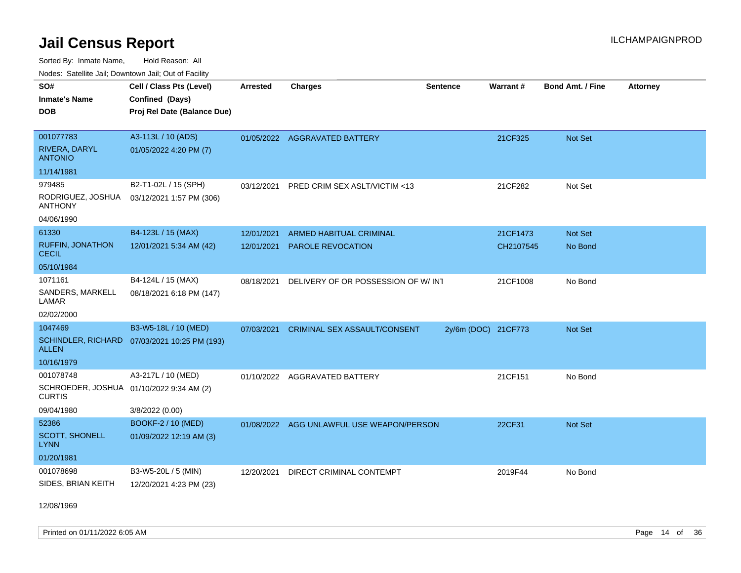Sorted By: Inmate Name, Hold Reason: All Nodes: Satellite Jail; Downtown Jail; Out of Facility

| Hougo. Catolino can, Bowmown can, Cat or Fagint                                      |                                                                            |                          |                                                            |                     |                       |                    |                 |
|--------------------------------------------------------------------------------------|----------------------------------------------------------------------------|--------------------------|------------------------------------------------------------|---------------------|-----------------------|--------------------|-----------------|
| SO#<br><b>Inmate's Name</b><br><b>DOB</b>                                            | Cell / Class Pts (Level)<br>Confined (Days)<br>Proj Rel Date (Balance Due) | <b>Arrested</b>          | <b>Charges</b>                                             | <b>Sentence</b>     | Warrant#              | Bond Amt. / Fine   | <b>Attorney</b> |
| 001077783<br>RIVERA, DARYL<br><b>ANTONIO</b>                                         | A3-113L / 10 (ADS)<br>01/05/2022 4:20 PM (7)                               |                          | 01/05/2022 AGGRAVATED BATTERY                              |                     | 21CF325               | Not Set            |                 |
| 11/14/1981                                                                           |                                                                            |                          |                                                            |                     |                       |                    |                 |
| 979485<br>RODRIGUEZ, JOSHUA<br><b>ANTHONY</b>                                        | B2-T1-02L / 15 (SPH)<br>03/12/2021 1:57 PM (306)                           | 03/12/2021               | PRED CRIM SEX ASLT/VICTIM <13                              |                     | 21CF282               | Not Set            |                 |
| 04/06/1990                                                                           |                                                                            |                          |                                                            |                     |                       |                    |                 |
| 61330<br><b>RUFFIN, JONATHON</b><br><b>CECIL</b>                                     | B4-123L / 15 (MAX)<br>12/01/2021 5:34 AM (42)                              | 12/01/2021<br>12/01/2021 | <b>ARMED HABITUAL CRIMINAL</b><br><b>PAROLE REVOCATION</b> |                     | 21CF1473<br>CH2107545 | Not Set<br>No Bond |                 |
| 05/10/1984                                                                           |                                                                            |                          |                                                            |                     |                       |                    |                 |
| 1071161<br>SANDERS, MARKELL<br>LAMAR<br>02/02/2000                                   | B4-124L / 15 (MAX)<br>08/18/2021 6:18 PM (147)                             | 08/18/2021               | DELIVERY OF OR POSSESSION OF W/INT                         |                     | 21CF1008              | No Bond            |                 |
| 1047469<br><b>ALLEN</b><br>10/16/1979                                                | B3-W5-18L / 10 (MED)<br>SCHINDLER, RICHARD 07/03/2021 10:25 PM (193)       | 07/03/2021               | <b>CRIMINAL SEX ASSAULT/CONSENT</b>                        | 2y/6m (DOC) 21CF773 |                       | Not Set            |                 |
| 001078748<br>SCHROEDER, JOSHUA 01/10/2022 9:34 AM (2)<br><b>CURTIS</b><br>09/04/1980 | A3-217L / 10 (MED)<br>3/8/2022 (0.00)                                      | 01/10/2022               | <b>AGGRAVATED BATTERY</b>                                  |                     | 21CF151               | No Bond            |                 |
| 52386<br><b>SCOTT, SHONELL</b><br>LYNN<br>01/20/1981                                 | BOOKF-2 / 10 (MED)<br>01/09/2022 12:19 AM (3)                              |                          | 01/08/2022 AGG UNLAWFUL USE WEAPON/PERSON                  |                     | 22CF31                | Not Set            |                 |
| 001078698<br>SIDES, BRIAN KEITH                                                      | B3-W5-20L / 5 (MIN)<br>12/20/2021 4:23 PM (23)                             | 12/20/2021               | DIRECT CRIMINAL CONTEMPT                                   |                     | 2019F44               | No Bond            |                 |

12/08/1969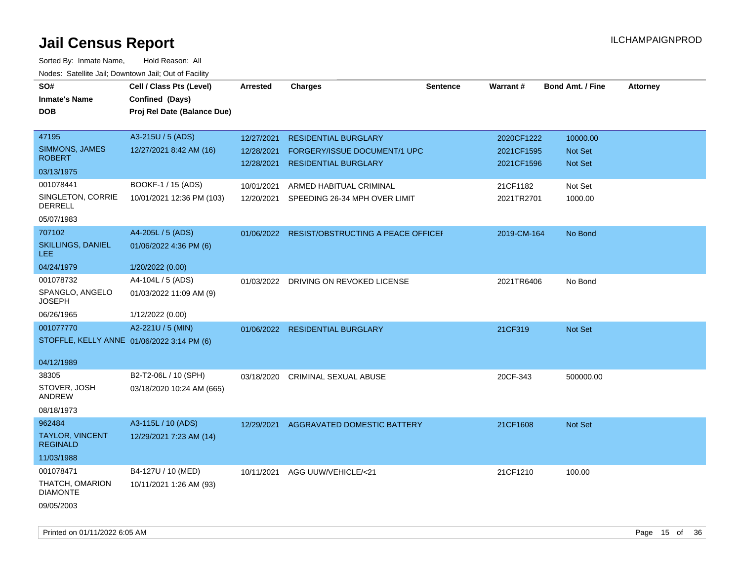| roaco. Catolino dall, Downtown dall, Out of Fability |                             |            |                                               |                 |             |                         |                 |
|------------------------------------------------------|-----------------------------|------------|-----------------------------------------------|-----------------|-------------|-------------------------|-----------------|
| SO#                                                  | Cell / Class Pts (Level)    | Arrested   | <b>Charges</b>                                | <b>Sentence</b> | Warrant#    | <b>Bond Amt. / Fine</b> | <b>Attorney</b> |
| <b>Inmate's Name</b>                                 | Confined (Days)             |            |                                               |                 |             |                         |                 |
| <b>DOB</b>                                           | Proj Rel Date (Balance Due) |            |                                               |                 |             |                         |                 |
|                                                      |                             |            |                                               |                 |             |                         |                 |
| 47195                                                | A3-215U / 5 (ADS)           | 12/27/2021 | <b>RESIDENTIAL BURGLARY</b>                   |                 | 2020CF1222  | 10000.00                |                 |
| <b>SIMMONS, JAMES</b>                                | 12/27/2021 8:42 AM (16)     | 12/28/2021 | FORGERY/ISSUE DOCUMENT/1 UPC                  |                 | 2021CF1595  | Not Set                 |                 |
| <b>ROBERT</b>                                        |                             | 12/28/2021 | <b>RESIDENTIAL BURGLARY</b>                   |                 | 2021CF1596  | Not Set                 |                 |
| 03/13/1975                                           |                             |            |                                               |                 |             |                         |                 |
| 001078441                                            | BOOKF-1 / 15 (ADS)          | 10/01/2021 | ARMED HABITUAL CRIMINAL                       |                 | 21CF1182    | Not Set                 |                 |
| SINGLETON, CORRIE<br>DERRELL                         | 10/01/2021 12:36 PM (103)   | 12/20/2021 | SPEEDING 26-34 MPH OVER LIMIT                 |                 | 2021TR2701  | 1000.00                 |                 |
| 05/07/1983                                           |                             |            |                                               |                 |             |                         |                 |
| 707102                                               | A4-205L / 5 (ADS)           |            | 01/06/2022 RESIST/OBSTRUCTING A PEACE OFFICEF |                 | 2019-CM-164 | No Bond                 |                 |
| <b>SKILLINGS, DANIEL</b><br><b>LEE</b>               | 01/06/2022 4:36 PM (6)      |            |                                               |                 |             |                         |                 |
| 04/24/1979                                           | 1/20/2022 (0.00)            |            |                                               |                 |             |                         |                 |
| 001078732                                            | A4-104L / 5 (ADS)           |            | 01/03/2022 DRIVING ON REVOKED LICENSE         |                 | 2021TR6406  | No Bond                 |                 |
| SPANGLO, ANGELO<br><b>JOSEPH</b>                     | 01/03/2022 11:09 AM (9)     |            |                                               |                 |             |                         |                 |
| 06/26/1965                                           | 1/12/2022 (0.00)            |            |                                               |                 |             |                         |                 |
| 001077770                                            | A2-221U / 5 (MIN)           |            | 01/06/2022 RESIDENTIAL BURGLARY               |                 | 21CF319     | Not Set                 |                 |
| STOFFLE, KELLY ANNE 01/06/2022 3:14 PM (6)           |                             |            |                                               |                 |             |                         |                 |
|                                                      |                             |            |                                               |                 |             |                         |                 |
| 04/12/1989                                           |                             |            |                                               |                 |             |                         |                 |
| 38305                                                | B2-T2-06L / 10 (SPH)        |            | 03/18/2020 CRIMINAL SEXUAL ABUSE              |                 | 20CF-343    | 500000.00               |                 |
| STOVER, JOSH<br>ANDREW                               | 03/18/2020 10:24 AM (665)   |            |                                               |                 |             |                         |                 |
| 08/18/1973                                           |                             |            |                                               |                 |             |                         |                 |
| 962484                                               | A3-115L / 10 (ADS)          |            | 12/29/2021 AGGRAVATED DOMESTIC BATTERY        |                 | 21CF1608    | Not Set                 |                 |
| TAYLOR, VINCENT<br><b>REGINALD</b>                   | 12/29/2021 7:23 AM (14)     |            |                                               |                 |             |                         |                 |
| 11/03/1988                                           |                             |            |                                               |                 |             |                         |                 |
| 001078471                                            | B4-127U / 10 (MED)          | 10/11/2021 | AGG UUW/VEHICLE/<21                           |                 | 21CF1210    | 100.00                  |                 |
| THATCH, OMARION                                      | 10/11/2021 1:26 AM (93)     |            |                                               |                 |             |                         |                 |
| <b>DIAMONTE</b>                                      |                             |            |                                               |                 |             |                         |                 |
| 09/05/2003                                           |                             |            |                                               |                 |             |                         |                 |
|                                                      |                             |            |                                               |                 |             |                         |                 |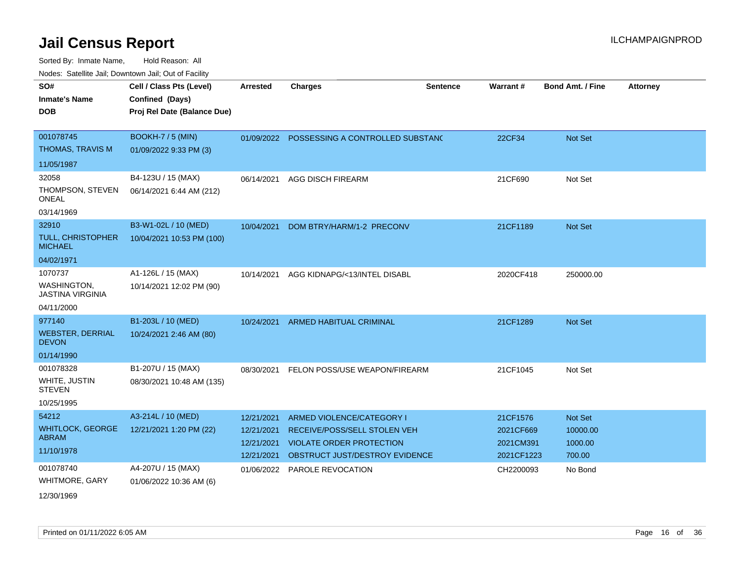Sorted By: Inmate Name, Hold Reason: All

| Nodes: Satellite Jail; Downtown Jail; Out of Facility |                             |                 |                                             |                 |            |                         |                 |
|-------------------------------------------------------|-----------------------------|-----------------|---------------------------------------------|-----------------|------------|-------------------------|-----------------|
| SO#                                                   | Cell / Class Pts (Level)    | <b>Arrested</b> | <b>Charges</b>                              | <b>Sentence</b> | Warrant#   | <b>Bond Amt. / Fine</b> | <b>Attorney</b> |
| <b>Inmate's Name</b>                                  | Confined (Days)             |                 |                                             |                 |            |                         |                 |
| <b>DOB</b>                                            | Proj Rel Date (Balance Due) |                 |                                             |                 |            |                         |                 |
|                                                       |                             |                 |                                             |                 |            |                         |                 |
| 001078745                                             | BOOKH-7 / 5 (MIN)           |                 | 01/09/2022 POSSESSING A CONTROLLED SUBSTANC |                 | 22CF34     | Not Set                 |                 |
| THOMAS, TRAVIS M                                      | 01/09/2022 9:33 PM (3)      |                 |                                             |                 |            |                         |                 |
| 11/05/1987                                            |                             |                 |                                             |                 |            |                         |                 |
| 32058                                                 | B4-123U / 15 (MAX)          | 06/14/2021      | AGG DISCH FIREARM                           |                 | 21CF690    | Not Set                 |                 |
| THOMPSON, STEVEN<br><b>ONEAL</b>                      | 06/14/2021 6:44 AM (212)    |                 |                                             |                 |            |                         |                 |
| 03/14/1969                                            |                             |                 |                                             |                 |            |                         |                 |
| 32910                                                 | B3-W1-02L / 10 (MED)        | 10/04/2021      | DOM BTRY/HARM/1-2 PRECONV                   |                 | 21CF1189   | Not Set                 |                 |
| <b>TULL, CHRISTOPHER</b><br><b>MICHAEL</b>            | 10/04/2021 10:53 PM (100)   |                 |                                             |                 |            |                         |                 |
| 04/02/1971                                            |                             |                 |                                             |                 |            |                         |                 |
| 1070737                                               | A1-126L / 15 (MAX)          | 10/14/2021      | AGG KIDNAPG/<13/INTEL DISABL                |                 | 2020CF418  | 250000.00               |                 |
| WASHINGTON,<br><b>JASTINA VIRGINIA</b>                | 10/14/2021 12:02 PM (90)    |                 |                                             |                 |            |                         |                 |
| 04/11/2000                                            |                             |                 |                                             |                 |            |                         |                 |
| 977140                                                | B1-203L / 10 (MED)          | 10/24/2021      | ARMED HABITUAL CRIMINAL                     |                 | 21CF1289   | Not Set                 |                 |
| <b>WEBSTER, DERRIAL</b><br><b>DEVON</b>               | 10/24/2021 2:46 AM (80)     |                 |                                             |                 |            |                         |                 |
| 01/14/1990                                            |                             |                 |                                             |                 |            |                         |                 |
| 001078328                                             | B1-207U / 15 (MAX)          | 08/30/2021      | FELON POSS/USE WEAPON/FIREARM               |                 | 21CF1045   | Not Set                 |                 |
| WHITE, JUSTIN<br><b>STEVEN</b>                        | 08/30/2021 10:48 AM (135)   |                 |                                             |                 |            |                         |                 |
| 10/25/1995                                            |                             |                 |                                             |                 |            |                         |                 |
| 54212                                                 | A3-214L / 10 (MED)          | 12/21/2021      | ARMED VIOLENCE/CATEGORY I                   |                 | 21CF1576   | Not Set                 |                 |
| <b>WHITLOCK, GEORGE</b>                               | 12/21/2021 1:20 PM (22)     | 12/21/2021      | RECEIVE/POSS/SELL STOLEN VEH                |                 | 2021CF669  | 10000.00                |                 |
| ABRAM                                                 |                             | 12/21/2021      | <b>VIOLATE ORDER PROTECTION</b>             |                 | 2021CM391  | 1000.00                 |                 |
| 11/10/1978                                            |                             | 12/21/2021      | OBSTRUCT JUST/DESTROY EVIDENCE              |                 | 2021CF1223 | 700.00                  |                 |
| 001078740                                             | A4-207U / 15 (MAX)          | 01/06/2022      | <b>PAROLE REVOCATION</b>                    |                 | CH2200093  | No Bond                 |                 |
| <b>WHITMORE, GARY</b>                                 | 01/06/2022 10:36 AM (6)     |                 |                                             |                 |            |                         |                 |
| 12/30/1969                                            |                             |                 |                                             |                 |            |                         |                 |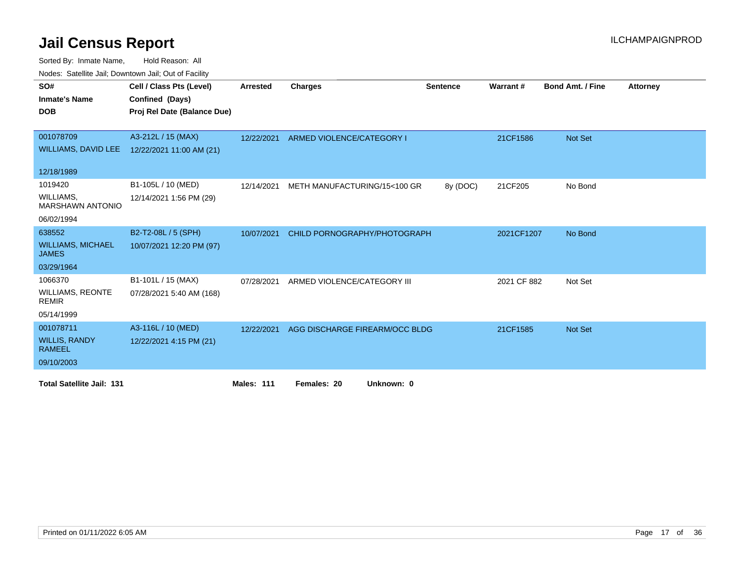| Nouco. Catolino can, Downtown can, Out of Facility |                             |                   |                                |                 |             |                         |                 |
|----------------------------------------------------|-----------------------------|-------------------|--------------------------------|-----------------|-------------|-------------------------|-----------------|
| SO#                                                | Cell / Class Pts (Level)    | Arrested          | <b>Charges</b>                 | <b>Sentence</b> | Warrant#    | <b>Bond Amt. / Fine</b> | <b>Attorney</b> |
| <b>Inmate's Name</b>                               | Confined (Days)             |                   |                                |                 |             |                         |                 |
| <b>DOB</b>                                         | Proj Rel Date (Balance Due) |                   |                                |                 |             |                         |                 |
|                                                    |                             |                   |                                |                 |             |                         |                 |
| 001078709                                          | A3-212L / 15 (MAX)          | 12/22/2021        | ARMED VIOLENCE/CATEGORY I      |                 | 21CF1586    | Not Set                 |                 |
| WILLIAMS, DAVID LEE                                | 12/22/2021 11:00 AM (21)    |                   |                                |                 |             |                         |                 |
|                                                    |                             |                   |                                |                 |             |                         |                 |
| 12/18/1989                                         |                             |                   |                                |                 |             |                         |                 |
| 1019420                                            | B1-105L / 10 (MED)          | 12/14/2021        | METH MANUFACTURING/15<100 GR   | 8y (DOC)        | 21CF205     | No Bond                 |                 |
| WILLIAMS,<br><b>MARSHAWN ANTONIO</b>               | 12/14/2021 1:56 PM (29)     |                   |                                |                 |             |                         |                 |
| 06/02/1994                                         |                             |                   |                                |                 |             |                         |                 |
| 638552                                             | B2-T2-08L / 5 (SPH)         | 10/07/2021        | CHILD PORNOGRAPHY/PHOTOGRAPH   |                 | 2021CF1207  | No Bond                 |                 |
| <b>WILLIAMS, MICHAEL</b><br><b>JAMES</b>           | 10/07/2021 12:20 PM (97)    |                   |                                |                 |             |                         |                 |
| 03/29/1964                                         |                             |                   |                                |                 |             |                         |                 |
| 1066370                                            | B1-101L / 15 (MAX)          | 07/28/2021        | ARMED VIOLENCE/CATEGORY III    |                 | 2021 CF 882 | Not Set                 |                 |
| <b>WILLIAMS, REONTE</b><br><b>REMIR</b>            | 07/28/2021 5:40 AM (168)    |                   |                                |                 |             |                         |                 |
| 05/14/1999                                         |                             |                   |                                |                 |             |                         |                 |
| 001078711                                          | A3-116L / 10 (MED)          | 12/22/2021        | AGG DISCHARGE FIREARM/OCC BLDG |                 | 21CF1585    | Not Set                 |                 |
| <b>WILLIS, RANDY</b><br><b>RAMEEL</b>              | 12/22/2021 4:15 PM (21)     |                   |                                |                 |             |                         |                 |
| 09/10/2003                                         |                             |                   |                                |                 |             |                         |                 |
| <b>Total Satellite Jail: 131</b>                   |                             | <b>Males: 111</b> | Females: 20<br>Unknown: 0      |                 |             |                         |                 |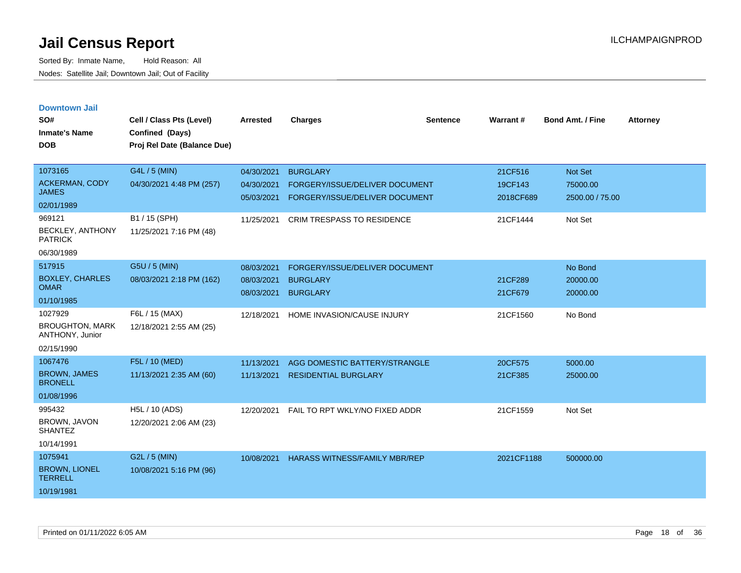| <b>Downtown Jail</b><br>SO#<br><b>Inmate's Name</b><br><b>DOB</b>  | Cell / Class Pts (Level)<br>Confined (Days)<br>Proj Rel Date (Balance Due) | <b>Arrested</b>                        | <b>Charges</b>                                                                      | <b>Sentence</b> | <b>Warrant#</b>                 | <b>Bond Amt. / Fine</b>                | <b>Attorney</b> |
|--------------------------------------------------------------------|----------------------------------------------------------------------------|----------------------------------------|-------------------------------------------------------------------------------------|-----------------|---------------------------------|----------------------------------------|-----------------|
| 1073165<br><b>ACKERMAN, CODY</b><br><b>JAMES</b><br>02/01/1989     | G4L / 5 (MIN)<br>04/30/2021 4:48 PM (257)                                  | 04/30/2021<br>04/30/2021<br>05/03/2021 | <b>BURGLARY</b><br>FORGERY/ISSUE/DELIVER DOCUMENT<br>FORGERY/ISSUE/DELIVER DOCUMENT |                 | 21CF516<br>19CF143<br>2018CF689 | Not Set<br>75000.00<br>2500.00 / 75.00 |                 |
| 969121<br><b>BECKLEY, ANTHONY</b><br><b>PATRICK</b><br>06/30/1989  | B1 / 15 (SPH)<br>11/25/2021 7:16 PM (48)                                   | 11/25/2021                             | <b>CRIM TRESPASS TO RESIDENCE</b>                                                   |                 | 21CF1444                        | Not Set                                |                 |
| 517915<br><b>BOXLEY, CHARLES</b><br><b>OMAR</b><br>01/10/1985      | G5U / 5 (MIN)<br>08/03/2021 2:18 PM (162)                                  | 08/03/2021<br>08/03/2021<br>08/03/2021 | FORGERY/ISSUE/DELIVER DOCUMENT<br><b>BURGLARY</b><br><b>BURGLARY</b>                |                 | 21CF289<br>21CF679              | No Bond<br>20000.00<br>20000.00        |                 |
| 1027929<br><b>BROUGHTON, MARK</b><br>ANTHONY, Junior<br>02/15/1990 | F6L / 15 (MAX)<br>12/18/2021 2:55 AM (25)                                  | 12/18/2021                             | HOME INVASION/CAUSE INJURY                                                          |                 | 21CF1560                        | No Bond                                |                 |
| 1067476<br><b>BROWN, JAMES</b><br><b>BRONELL</b><br>01/08/1996     | F5L / 10 (MED)<br>11/13/2021 2:35 AM (60)                                  | 11/13/2021<br>11/13/2021               | AGG DOMESTIC BATTERY/STRANGLE<br><b>RESIDENTIAL BURGLARY</b>                        |                 | 20CF575<br>21CF385              | 5000.00<br>25000.00                    |                 |
| 995432<br><b>BROWN, JAVON</b><br><b>SHANTEZ</b><br>10/14/1991      | H5L / 10 (ADS)<br>12/20/2021 2:06 AM (23)                                  | 12/20/2021                             | FAIL TO RPT WKLY/NO FIXED ADDR                                                      |                 | 21CF1559                        | Not Set                                |                 |
| 1075941<br><b>BROWN, LIONEL</b><br><b>TERRELL</b><br>10/19/1981    | G2L / 5 (MIN)<br>10/08/2021 5:16 PM (96)                                   | 10/08/2021                             | <b>HARASS WITNESS/FAMILY MBR/REP</b>                                                |                 | 2021CF1188                      | 500000.00                              |                 |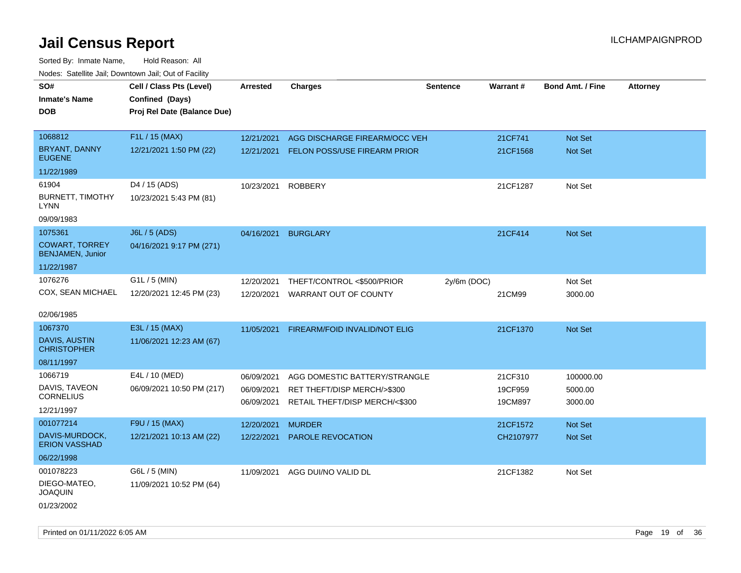| SO#                                              | Cell / Class Pts (Level)    | <b>Arrested</b> | <b>Charges</b>                          | <b>Sentence</b> | Warrant#  | <b>Bond Amt. / Fine</b> | <b>Attorney</b> |
|--------------------------------------------------|-----------------------------|-----------------|-----------------------------------------|-----------------|-----------|-------------------------|-----------------|
| <b>Inmate's Name</b>                             |                             |                 |                                         |                 |           |                         |                 |
|                                                  | Confined (Days)             |                 |                                         |                 |           |                         |                 |
| <b>DOB</b>                                       | Proj Rel Date (Balance Due) |                 |                                         |                 |           |                         |                 |
| 1068812                                          | F1L / 15 (MAX)              |                 |                                         |                 |           |                         |                 |
|                                                  |                             | 12/21/2021      | AGG DISCHARGE FIREARM/OCC VEH           |                 | 21CF741   | Not Set                 |                 |
| BRYANT, DANNY<br><b>EUGENE</b>                   | 12/21/2021 1:50 PM (22)     |                 | 12/21/2021 FELON POSS/USE FIREARM PRIOR |                 | 21CF1568  | Not Set                 |                 |
| 11/22/1989                                       |                             |                 |                                         |                 |           |                         |                 |
| 61904                                            | D4 / 15 (ADS)               | 10/23/2021      | <b>ROBBERY</b>                          |                 | 21CF1287  | Not Set                 |                 |
| <b>BURNETT, TIMOTHY</b><br><b>LYNN</b>           | 10/23/2021 5:43 PM (81)     |                 |                                         |                 |           |                         |                 |
| 09/09/1983                                       |                             |                 |                                         |                 |           |                         |                 |
| 1075361                                          | <b>J6L / 5 (ADS)</b>        | 04/16/2021      | <b>BURGLARY</b>                         |                 | 21CF414   | <b>Not Set</b>          |                 |
| <b>COWART, TORREY</b><br><b>BENJAMEN, Junior</b> | 04/16/2021 9:17 PM (271)    |                 |                                         |                 |           |                         |                 |
| 11/22/1987                                       |                             |                 |                                         |                 |           |                         |                 |
| 1076276                                          | G1L / 5 (MIN)               | 12/20/2021      | THEFT/CONTROL <\$500/PRIOR              | $2y/6m$ (DOC)   |           | Not Set                 |                 |
| COX, SEAN MICHAEL                                | 12/20/2021 12:45 PM (23)    | 12/20/2021      | WARRANT OUT OF COUNTY                   |                 | 21CM99    | 3000.00                 |                 |
|                                                  |                             |                 |                                         |                 |           |                         |                 |
| 02/06/1985                                       |                             |                 |                                         |                 |           |                         |                 |
| 1067370                                          | E3L / 15 (MAX)              | 11/05/2021      | FIREARM/FOID INVALID/NOT ELIG           |                 | 21CF1370  | <b>Not Set</b>          |                 |
| DAVIS, AUSTIN<br><b>CHRISTOPHER</b>              | 11/06/2021 12:23 AM (67)    |                 |                                         |                 |           |                         |                 |
| 08/11/1997                                       |                             |                 |                                         |                 |           |                         |                 |
| 1066719                                          | E4L / 10 (MED)              | 06/09/2021      | AGG DOMESTIC BATTERY/STRANGLE           |                 | 21CF310   | 100000.00               |                 |
| DAVIS, TAVEON                                    | 06/09/2021 10:50 PM (217)   | 06/09/2021      | RET THEFT/DISP MERCH/>\$300             |                 | 19CF959   | 5000.00                 |                 |
| <b>CORNELIUS</b>                                 |                             | 06/09/2021      | RETAIL THEFT/DISP MERCH/<\$300          |                 | 19CM897   | 3000.00                 |                 |
| 12/21/1997                                       |                             |                 |                                         |                 |           |                         |                 |
| 001077214                                        | F9U / 15 (MAX)              | 12/20/2021      | <b>MURDER</b>                           |                 | 21CF1572  | Not Set                 |                 |
| DAVIS-MURDOCK,<br><b>ERION VASSHAD</b>           | 12/21/2021 10:13 AM (22)    | 12/22/2021      | PAROLE REVOCATION                       |                 | CH2107977 | Not Set                 |                 |
| 06/22/1998                                       |                             |                 |                                         |                 |           |                         |                 |
| 001078223                                        | G6L / 5 (MIN)               | 11/09/2021      | AGG DUI/NO VALID DL                     |                 | 21CF1382  | Not Set                 |                 |
| DIEGO-MATEO,<br><b>JOAQUIN</b>                   | 11/09/2021 10:52 PM (64)    |                 |                                         |                 |           |                         |                 |
| 01/23/2002                                       |                             |                 |                                         |                 |           |                         |                 |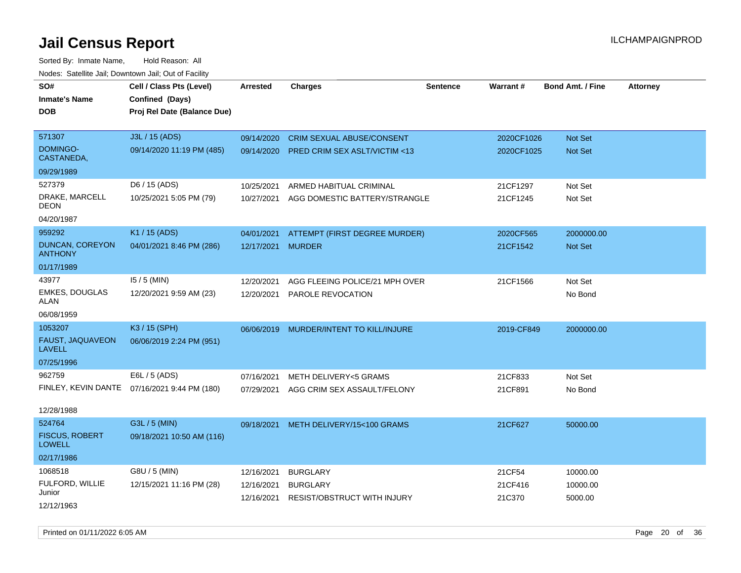| roaco. Calcinio can, Downtown can, Out or Faoint |                                              |                 |                                         |                 |            |                         |                 |
|--------------------------------------------------|----------------------------------------------|-----------------|-----------------------------------------|-----------------|------------|-------------------------|-----------------|
| SO#                                              | Cell / Class Pts (Level)                     | <b>Arrested</b> | <b>Charges</b>                          | <b>Sentence</b> | Warrant#   | <b>Bond Amt. / Fine</b> | <b>Attorney</b> |
| <b>Inmate's Name</b>                             | Confined (Days)                              |                 |                                         |                 |            |                         |                 |
| <b>DOB</b>                                       | Proj Rel Date (Balance Due)                  |                 |                                         |                 |            |                         |                 |
|                                                  |                                              |                 |                                         |                 |            |                         |                 |
| 571307                                           | J3L / 15 (ADS)                               | 09/14/2020      | <b>CRIM SEXUAL ABUSE/CONSENT</b>        |                 | 2020CF1026 | Not Set                 |                 |
| <b>DOMINGO-</b><br>CASTANEDA,                    | 09/14/2020 11:19 PM (485)                    | 09/14/2020      | <b>PRED CRIM SEX ASLT/VICTIM &lt;13</b> |                 | 2020CF1025 | <b>Not Set</b>          |                 |
| 09/29/1989                                       |                                              |                 |                                         |                 |            |                         |                 |
| 527379                                           | D6 / 15 (ADS)                                | 10/25/2021      | ARMED HABITUAL CRIMINAL                 |                 | 21CF1297   | Not Set                 |                 |
| DRAKE, MARCELL<br>DEON                           | 10/25/2021 5:05 PM (79)                      | 10/27/2021      | AGG DOMESTIC BATTERY/STRANGLE           |                 | 21CF1245   | Not Set                 |                 |
| 04/20/1987                                       |                                              |                 |                                         |                 |            |                         |                 |
| 959292                                           | K1 / 15 (ADS)                                | 04/01/2021      | ATTEMPT (FIRST DEGREE MURDER)           |                 | 2020CF565  | 2000000.00              |                 |
| DUNCAN, COREYON<br><b>ANTHONY</b>                | 04/01/2021 8:46 PM (286)                     | 12/17/2021      | <b>MURDER</b>                           |                 | 21CF1542   | <b>Not Set</b>          |                 |
| 01/17/1989                                       |                                              |                 |                                         |                 |            |                         |                 |
| 43977                                            | $15/5$ (MIN)                                 | 12/20/2021      | AGG FLEEING POLICE/21 MPH OVER          |                 | 21CF1566   | Not Set                 |                 |
| <b>EMKES, DOUGLAS</b><br>ALAN                    | 12/20/2021 9:59 AM (23)                      | 12/20/2021      | PAROLE REVOCATION                       |                 |            | No Bond                 |                 |
| 06/08/1959                                       |                                              |                 |                                         |                 |            |                         |                 |
| 1053207                                          | K3 / 15 (SPH)                                | 06/06/2019      | MURDER/INTENT TO KILL/INJURE            |                 | 2019-CF849 | 2000000.00              |                 |
| FAUST, JAQUAVEON<br>LAVELL                       | 06/06/2019 2:24 PM (951)                     |                 |                                         |                 |            |                         |                 |
| 07/25/1996                                       |                                              |                 |                                         |                 |            |                         |                 |
| 962759                                           | E6L / 5 (ADS)                                | 07/16/2021      | <b>METH DELIVERY&lt;5 GRAMS</b>         |                 | 21CF833    | Not Set                 |                 |
|                                                  | FINLEY, KEVIN DANTE 07/16/2021 9:44 PM (180) | 07/29/2021      | AGG CRIM SEX ASSAULT/FELONY             |                 | 21CF891    | No Bond                 |                 |
| 12/28/1988                                       |                                              |                 |                                         |                 |            |                         |                 |
| 524764                                           | G3L / 5 (MIN)                                | 09/18/2021      | METH DELIVERY/15<100 GRAMS              |                 | 21CF627    | 50000.00                |                 |
| <b>FISCUS, ROBERT</b><br><b>LOWELL</b>           | 09/18/2021 10:50 AM (116)                    |                 |                                         |                 |            |                         |                 |
| 02/17/1986                                       |                                              |                 |                                         |                 |            |                         |                 |
| 1068518                                          | G8U / 5 (MIN)                                | 12/16/2021      | <b>BURGLARY</b>                         |                 | 21CF54     | 10000.00                |                 |
| FULFORD, WILLIE                                  | 12/15/2021 11:16 PM (28)                     | 12/16/2021      | <b>BURGLARY</b>                         |                 | 21CF416    | 10000.00                |                 |
| Junior                                           |                                              | 12/16/2021      | <b>RESIST/OBSTRUCT WITH INJURY</b>      |                 | 21C370     | 5000.00                 |                 |
| 12/12/1963                                       |                                              |                 |                                         |                 |            |                         |                 |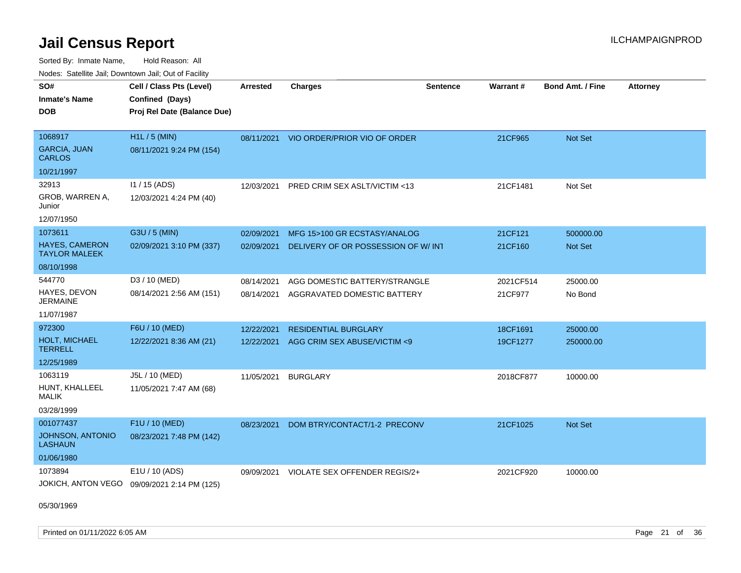Sorted By: Inmate Name, Hold Reason: All Nodes: Satellite Jail; Downtown Jail; Out of Facility

| rouco. Calcinic Jan, Downtown Jan, Out of Facility |                                             |                 |                                         |                 |                 |                         |                 |
|----------------------------------------------------|---------------------------------------------|-----------------|-----------------------------------------|-----------------|-----------------|-------------------------|-----------------|
| SO#                                                | Cell / Class Pts (Level)                    | <b>Arrested</b> | <b>Charges</b>                          | <b>Sentence</b> | <b>Warrant#</b> | <b>Bond Amt. / Fine</b> | <b>Attorney</b> |
| Inmate's Name                                      | Confined (Days)                             |                 |                                         |                 |                 |                         |                 |
| DOB                                                | Proj Rel Date (Balance Due)                 |                 |                                         |                 |                 |                         |                 |
|                                                    |                                             |                 |                                         |                 |                 |                         |                 |
| 1068917                                            | $H1L / 5$ (MIN)                             |                 | 08/11/2021 VIO ORDER/PRIOR VIO OF ORDER |                 | 21CF965         | <b>Not Set</b>          |                 |
| <b>GARCIA, JUAN</b><br><b>CARLOS</b>               | 08/11/2021 9:24 PM (154)                    |                 |                                         |                 |                 |                         |                 |
| 10/21/1997                                         |                                             |                 |                                         |                 |                 |                         |                 |
| 32913                                              | I1 / 15 (ADS)                               | 12/03/2021      | PRED CRIM SEX ASLT/VICTIM <13           |                 | 21CF1481        | Not Set                 |                 |
| GROB, WARREN A,<br>Junior                          | 12/03/2021 4:24 PM (40)                     |                 |                                         |                 |                 |                         |                 |
| 12/07/1950                                         |                                             |                 |                                         |                 |                 |                         |                 |
| 1073611                                            | G3U / 5 (MIN)                               | 02/09/2021      | MFG 15>100 GR ECSTASY/ANALOG            |                 | 21CF121         | 500000.00               |                 |
| <b>HAYES, CAMERON</b><br>TAYLOR MALEEK             | 02/09/2021 3:10 PM (337)                    | 02/09/2021      | DELIVERY OF OR POSSESSION OF W/ INT     |                 | 21CF160         | <b>Not Set</b>          |                 |
| 08/10/1998                                         |                                             |                 |                                         |                 |                 |                         |                 |
| 544770                                             | D3 / 10 (MED)                               | 08/14/2021      | AGG DOMESTIC BATTERY/STRANGLE           |                 | 2021CF514       | 25000.00                |                 |
| HAYES, DEVON<br><b>JERMAINE</b>                    | 08/14/2021 2:56 AM (151)                    | 08/14/2021      | AGGRAVATED DOMESTIC BATTERY             |                 | 21CF977         | No Bond                 |                 |
| 11/07/1987                                         |                                             |                 |                                         |                 |                 |                         |                 |
| 972300                                             | F6U / 10 (MED)                              | 12/22/2021      | <b>RESIDENTIAL BURGLARY</b>             |                 | 18CF1691        | 25000.00                |                 |
| <b>HOLT, MICHAEL</b><br>TERRELL                    | 12/22/2021 8:36 AM (21)                     | 12/22/2021      | AGG CRIM SEX ABUSE/VICTIM <9            |                 | 19CF1277        | 250000.00               |                 |
| 12/25/1989                                         |                                             |                 |                                         |                 |                 |                         |                 |
| 1063119                                            | J5L / 10 (MED)                              | 11/05/2021      | <b>BURGLARY</b>                         |                 | 2018CF877       | 10000.00                |                 |
| HUNT, KHALLEEL<br>MALIK                            | 11/05/2021 7:47 AM (68)                     |                 |                                         |                 |                 |                         |                 |
| 03/28/1999                                         |                                             |                 |                                         |                 |                 |                         |                 |
| 001077437                                          | F1U / 10 (MED)                              | 08/23/2021      | DOM BTRY/CONTACT/1-2 PRECONV            |                 | 21CF1025        | Not Set                 |                 |
| JOHNSON, ANTONIO<br>LASHAUN                        | 08/23/2021 7:48 PM (142)                    |                 |                                         |                 |                 |                         |                 |
| 01/06/1980                                         |                                             |                 |                                         |                 |                 |                         |                 |
| 1073894                                            | E1U / 10 (ADS)                              | 09/09/2021      | VIOLATE SEX OFFENDER REGIS/2+           |                 | 2021CF920       | 10000.00                |                 |
|                                                    | JOKICH, ANTON VEGO 09/09/2021 2:14 PM (125) |                 |                                         |                 |                 |                         |                 |

05/30/1969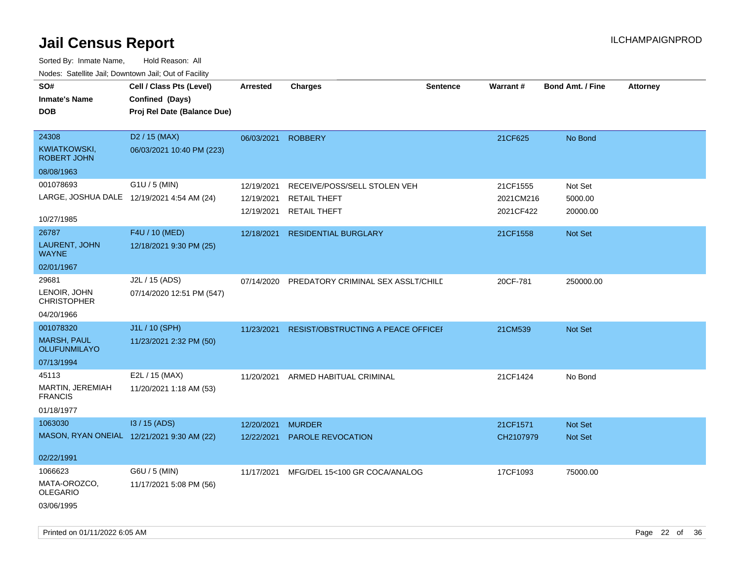| SO#                                        | Cell / Class Pts (Level)    | <b>Arrested</b> | <b>Charges</b>                            | <b>Sentence</b> | Warrant#  | <b>Bond Amt. / Fine</b> | Attorney |
|--------------------------------------------|-----------------------------|-----------------|-------------------------------------------|-----------------|-----------|-------------------------|----------|
| <b>Inmate's Name</b>                       | Confined (Days)             |                 |                                           |                 |           |                         |          |
| <b>DOB</b>                                 | Proj Rel Date (Balance Due) |                 |                                           |                 |           |                         |          |
|                                            |                             |                 |                                           |                 |           |                         |          |
| 24308                                      | D <sub>2</sub> / 15 (MAX)   | 06/03/2021      | <b>ROBBERY</b>                            |                 | 21CF625   | No Bond                 |          |
| <b>KWIATKOWSKI,</b><br><b>ROBERT JOHN</b>  | 06/03/2021 10:40 PM (223)   |                 |                                           |                 |           |                         |          |
| 08/08/1963                                 |                             |                 |                                           |                 |           |                         |          |
| 001078693                                  | G1U / 5 (MIN)               | 12/19/2021      | RECEIVE/POSS/SELL STOLEN VEH              |                 | 21CF1555  | Not Set                 |          |
| LARGE, JOSHUA DALE 12/19/2021 4:54 AM (24) |                             | 12/19/2021      | <b>RETAIL THEFT</b>                       |                 | 2021CM216 | 5000.00                 |          |
|                                            |                             | 12/19/2021      | <b>RETAIL THEFT</b>                       |                 | 2021CF422 | 20000.00                |          |
| 10/27/1985                                 |                             |                 |                                           |                 |           |                         |          |
| 26787                                      | F4U / 10 (MED)              | 12/18/2021      | <b>RESIDENTIAL BURGLARY</b>               |                 | 21CF1558  | Not Set                 |          |
| LAURENT, JOHN<br><b>WAYNE</b>              | 12/18/2021 9:30 PM (25)     |                 |                                           |                 |           |                         |          |
| 02/01/1967                                 |                             |                 |                                           |                 |           |                         |          |
| 29681                                      | J2L / 15 (ADS)              | 07/14/2020      | PREDATORY CRIMINAL SEX ASSLT/CHILE        |                 | 20CF-781  | 250000.00               |          |
| LENOIR, JOHN<br><b>CHRISTOPHER</b>         | 07/14/2020 12:51 PM (547)   |                 |                                           |                 |           |                         |          |
| 04/20/1966                                 |                             |                 |                                           |                 |           |                         |          |
| 001078320                                  | J1L / 10 (SPH)              | 11/23/2021      | <b>RESIST/OBSTRUCTING A PEACE OFFICEF</b> |                 | 21CM539   | Not Set                 |          |
| <b>MARSH, PAUL</b><br>OLUFUNMILAYO         | 11/23/2021 2:32 PM (50)     |                 |                                           |                 |           |                         |          |
| 07/13/1994                                 |                             |                 |                                           |                 |           |                         |          |
| 45113                                      | E2L / 15 (MAX)              | 11/20/2021      | ARMED HABITUAL CRIMINAL                   |                 | 21CF1424  | No Bond                 |          |
| MARTIN, JEREMIAH<br><b>FRANCIS</b>         | 11/20/2021 1:18 AM (53)     |                 |                                           |                 |           |                         |          |
| 01/18/1977                                 |                             |                 |                                           |                 |           |                         |          |
| 1063030                                    | I3 / 15 (ADS)               | 12/20/2021      | <b>MURDER</b>                             |                 | 21CF1571  | Not Set                 |          |
| MASON, RYAN ONEIAL 12/21/2021 9:30 AM (22) |                             | 12/22/2021      | PAROLE REVOCATION                         |                 | CH2107979 | Not Set                 |          |
| 02/22/1991                                 |                             |                 |                                           |                 |           |                         |          |
| 1066623                                    | G6U / 5 (MIN)               | 11/17/2021      | MFG/DEL 15<100 GR COCA/ANALOG             |                 | 17CF1093  | 75000.00                |          |
| MATA-OROZCO,                               | 11/17/2021 5:08 PM (56)     |                 |                                           |                 |           |                         |          |
| <b>OLEGARIO</b>                            |                             |                 |                                           |                 |           |                         |          |
| 03/06/1995                                 |                             |                 |                                           |                 |           |                         |          |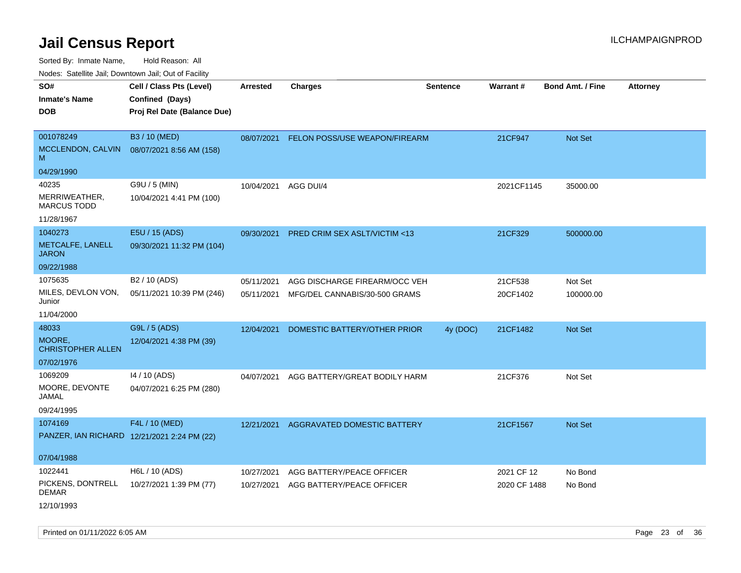Sorted By: Inmate Name, Hold Reason: All

Nodes: Satellite Jail; Downtown Jail; Out of Facility

| $1100000$ . Catomic ban, Bowmown ban, Oat of Fability                |                                                                            |                          |                                                                |                 |                     |                         |                 |
|----------------------------------------------------------------------|----------------------------------------------------------------------------|--------------------------|----------------------------------------------------------------|-----------------|---------------------|-------------------------|-----------------|
| SO#<br><b>Inmate's Name</b><br><b>DOB</b>                            | Cell / Class Pts (Level)<br>Confined (Days)<br>Proj Rel Date (Balance Due) | <b>Arrested</b>          | <b>Charges</b>                                                 | <b>Sentence</b> | Warrant#            | <b>Bond Amt. / Fine</b> | <b>Attorney</b> |
| 001078249<br>MCCLENDON, CALVIN<br>M                                  | B3 / 10 (MED)<br>08/07/2021 8:56 AM (158)                                  | 08/07/2021               | FELON POSS/USE WEAPON/FIREARM                                  |                 | 21CF947             | Not Set                 |                 |
| 04/29/1990                                                           |                                                                            |                          |                                                                |                 |                     |                         |                 |
| 40235<br>MERRIWEATHER,<br><b>MARCUS TODD</b><br>11/28/1967           | G9U / 5 (MIN)<br>10/04/2021 4:41 PM (100)                                  | 10/04/2021               | AGG DUI/4                                                      |                 | 2021CF1145          | 35000.00                |                 |
|                                                                      |                                                                            |                          |                                                                |                 |                     |                         |                 |
| 1040273<br>METCALFE, LANELL<br><b>JARON</b>                          | E5U / 15 (ADS)<br>09/30/2021 11:32 PM (104)                                | 09/30/2021               | <b>PRED CRIM SEX ASLT/VICTIM &lt;13</b>                        |                 | 21CF329             | 500000.00               |                 |
| 09/22/1988                                                           |                                                                            |                          |                                                                |                 |                     |                         |                 |
| 1075635<br>MILES, DEVLON VON,<br>Junior                              | B <sub>2</sub> / 10 (ADS)<br>05/11/2021 10:39 PM (246)                     | 05/11/2021<br>05/11/2021 | AGG DISCHARGE FIREARM/OCC VEH<br>MFG/DEL CANNABIS/30-500 GRAMS |                 | 21CF538<br>20CF1402 | Not Set<br>100000.00    |                 |
| 11/04/2000                                                           |                                                                            |                          |                                                                |                 |                     |                         |                 |
| 48033<br>MOORE,<br><b>CHRISTOPHER ALLEN</b>                          | G9L / 5 (ADS)<br>12/04/2021 4:38 PM (39)                                   | 12/04/2021               | DOMESTIC BATTERY/OTHER PRIOR                                   | 4y (DOC)        | 21CF1482            | <b>Not Set</b>          |                 |
| 07/02/1976                                                           |                                                                            |                          |                                                                |                 |                     |                         |                 |
| 1069209<br>MOORE, DEVONTE<br>JAMAL<br>09/24/1995                     | 14 / 10 (ADS)<br>04/07/2021 6:25 PM (280)                                  | 04/07/2021               | AGG BATTERY/GREAT BODILY HARM                                  |                 | 21CF376             | Not Set                 |                 |
| 1074169<br>PANZER, IAN RICHARD 12/21/2021 2:24 PM (22)<br>07/04/1988 | F4L / 10 (MED)                                                             | 12/21/2021               | AGGRAVATED DOMESTIC BATTERY                                    |                 | 21CF1567            | Not Set                 |                 |
| 1022441                                                              | H6L / 10 (ADS)                                                             | 10/27/2021               | AGG BATTERY/PEACE OFFICER                                      |                 | 2021 CF 12          | No Bond                 |                 |
| PICKENS, DONTRELL<br><b>DEMAR</b><br>12/10/1993                      | 10/27/2021 1:39 PM (77)                                                    | 10/27/2021               | AGG BATTERY/PEACE OFFICER                                      |                 | 2020 CF 1488        | No Bond                 |                 |

Printed on 01/11/2022 6:05 AM Page 23 of 36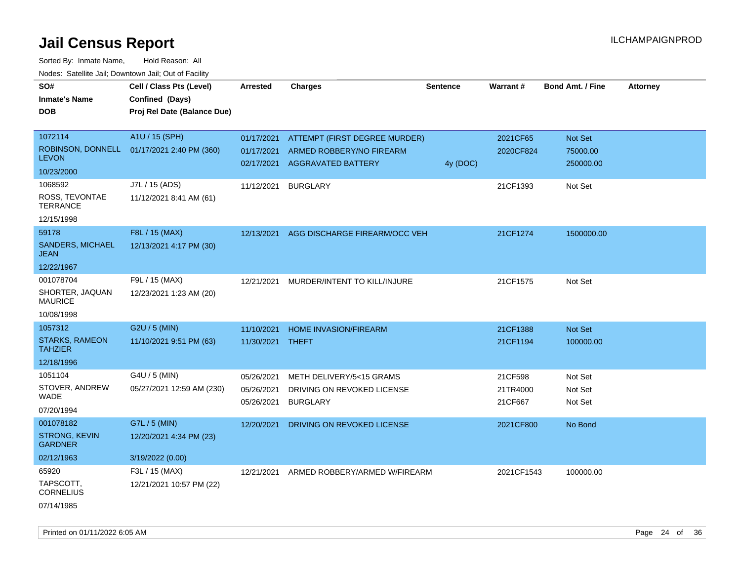| SO#                                     | Cell / Class Pts (Level)                       | <b>Arrested</b> | <b>Charges</b>                | <b>Sentence</b> | Warrant#   | <b>Bond Amt. / Fine</b> | <b>Attorney</b> |
|-----------------------------------------|------------------------------------------------|-----------------|-------------------------------|-----------------|------------|-------------------------|-----------------|
| <b>Inmate's Name</b>                    | Confined (Days)<br>Proj Rel Date (Balance Due) |                 |                               |                 |            |                         |                 |
| DOB                                     |                                                |                 |                               |                 |            |                         |                 |
| 1072114                                 | A1U / 15 (SPH)                                 | 01/17/2021      | ATTEMPT (FIRST DEGREE MURDER) |                 | 2021CF65   | Not Set                 |                 |
| ROBINSON, DONNELL                       | 01/17/2021 2:40 PM (360)                       | 01/17/2021      | ARMED ROBBERY/NO FIREARM      |                 | 2020CF824  | 75000.00                |                 |
| <b>LEVON</b>                            |                                                | 02/17/2021      | AGGRAVATED BATTERY            | 4y (DOC)        |            | 250000.00               |                 |
| 10/23/2000                              |                                                |                 |                               |                 |            |                         |                 |
| 1068592                                 | J7L / 15 (ADS)                                 | 11/12/2021      | <b>BURGLARY</b>               |                 | 21CF1393   | Not Set                 |                 |
| ROSS, TEVONTAE<br><b>TERRANCE</b>       | 11/12/2021 8:41 AM (61)                        |                 |                               |                 |            |                         |                 |
| 12/15/1998                              |                                                |                 |                               |                 |            |                         |                 |
| 59178                                   | F8L / 15 (MAX)                                 | 12/13/2021      | AGG DISCHARGE FIREARM/OCC VEH |                 | 21CF1274   | 1500000.00              |                 |
| SANDERS, MICHAEL<br><b>JEAN</b>         | 12/13/2021 4:17 PM (30)                        |                 |                               |                 |            |                         |                 |
| 12/22/1967                              |                                                |                 |                               |                 |            |                         |                 |
| 001078704                               | F9L / 15 (MAX)                                 | 12/21/2021      | MURDER/INTENT TO KILL/INJURE  |                 | 21CF1575   | Not Set                 |                 |
| SHORTER, JAQUAN<br><b>MAURICE</b>       | 12/23/2021 1:23 AM (20)                        |                 |                               |                 |            |                         |                 |
| 10/08/1998                              |                                                |                 |                               |                 |            |                         |                 |
| 1057312                                 | G2U / 5 (MIN)                                  | 11/10/2021      | <b>HOME INVASION/FIREARM</b>  |                 | 21CF1388   | Not Set                 |                 |
| <b>STARKS, RAMEON</b><br><b>TAHZIER</b> | 11/10/2021 9:51 PM (63)                        | 11/30/2021      | THEFT                         |                 | 21CF1194   | 100000.00               |                 |
| 12/18/1996                              |                                                |                 |                               |                 |            |                         |                 |
| 1051104                                 | G4U / 5 (MIN)                                  | 05/26/2021      | METH DELIVERY/5<15 GRAMS      |                 | 21CF598    | Not Set                 |                 |
| STOVER, ANDREW                          | 05/27/2021 12:59 AM (230)                      | 05/26/2021      | DRIVING ON REVOKED LICENSE    |                 | 21TR4000   | Not Set                 |                 |
| WADE                                    |                                                | 05/26/2021      | <b>BURGLARY</b>               |                 | 21CF667    | Not Set                 |                 |
| 07/20/1994                              |                                                |                 |                               |                 |            |                         |                 |
| 001078182                               | G7L / 5 (MIN)                                  | 12/20/2021      | DRIVING ON REVOKED LICENSE    |                 | 2021CF800  | No Bond                 |                 |
| <b>STRONG, KEVIN</b><br><b>GARDNER</b>  | 12/20/2021 4:34 PM (23)                        |                 |                               |                 |            |                         |                 |
| 02/12/1963                              | 3/19/2022 (0.00)                               |                 |                               |                 |            |                         |                 |
| 65920                                   | F3L / 15 (MAX)                                 | 12/21/2021      | ARMED ROBBERY/ARMED W/FIREARM |                 | 2021CF1543 | 100000.00               |                 |
| TAPSCOTT,<br><b>CORNELIUS</b>           | 12/21/2021 10:57 PM (22)                       |                 |                               |                 |            |                         |                 |
| 07/14/1985                              |                                                |                 |                               |                 |            |                         |                 |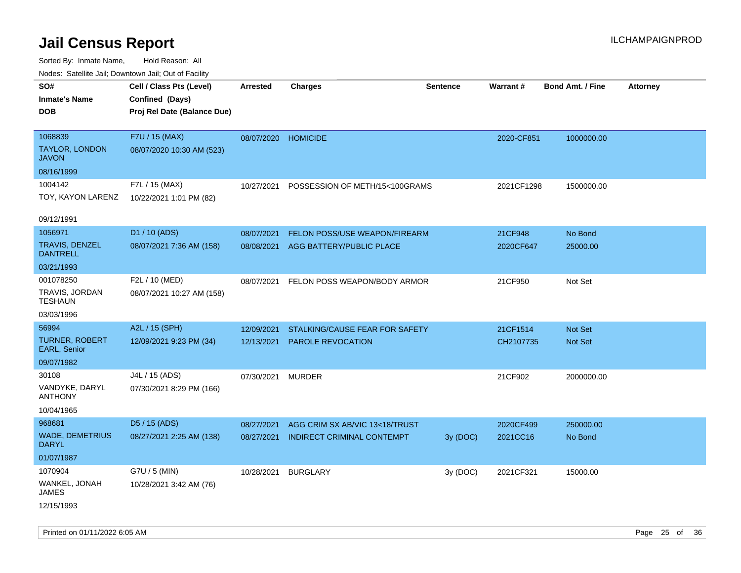| SO#<br>Inmate's Name<br><b>DOB</b>               | Cell / Class Pts (Level)<br>Confined (Days)<br>Proj Rel Date (Balance Due) | <b>Arrested</b> | <b>Charges</b>                 | <b>Sentence</b> | Warrant#   | <b>Bond Amt. / Fine</b> | Attorney |
|--------------------------------------------------|----------------------------------------------------------------------------|-----------------|--------------------------------|-----------------|------------|-------------------------|----------|
| 1068839<br><b>TAYLOR, LONDON</b><br><b>JAVON</b> | F7U / 15 (MAX)<br>08/07/2020 10:30 AM (523)                                | 08/07/2020      | <b>HOMICIDE</b>                |                 | 2020-CF851 | 1000000.00              |          |
| 08/16/1999                                       |                                                                            |                 |                                |                 |            |                         |          |
| 1004142<br>TOY, KAYON LARENZ                     | F7L / 15 (MAX)<br>10/22/2021 1:01 PM (82)                                  | 10/27/2021      | POSSESSION OF METH/15<100GRAMS |                 | 2021CF1298 | 1500000.00              |          |
| 09/12/1991                                       |                                                                            |                 |                                |                 |            |                         |          |
| 1056971                                          | D1 / 10 (ADS)                                                              | 08/07/2021      | FELON POSS/USE WEAPON/FIREARM  |                 | 21CF948    | No Bond                 |          |
| <b>TRAVIS, DENZEL</b><br><b>DANTRELL</b>         | 08/07/2021 7:36 AM (158)                                                   | 08/08/2021      | AGG BATTERY/PUBLIC PLACE       |                 | 2020CF647  | 25000.00                |          |
| 03/21/1993                                       |                                                                            |                 |                                |                 |            |                         |          |
| 001078250<br>TRAVIS, JORDAN<br><b>TESHAUN</b>    | F2L / 10 (MED)<br>08/07/2021 10:27 AM (158)                                | 08/07/2021      | FELON POSS WEAPON/BODY ARMOR   |                 | 21CF950    | Not Set                 |          |
| 03/03/1996                                       |                                                                            |                 |                                |                 |            |                         |          |
| 56994                                            | A2L / 15 (SPH)                                                             | 12/09/2021      | STALKING/CAUSE FEAR FOR SAFETY |                 | 21CF1514   | <b>Not Set</b>          |          |
| <b>TURNER, ROBERT</b><br>EARL, Senior            | 12/09/2021 9:23 PM (34)                                                    | 12/13/2021      | PAROLE REVOCATION              |                 | CH2107735  | Not Set                 |          |
| 09/07/1982                                       |                                                                            |                 |                                |                 |            |                         |          |
| 30108                                            | J4L / 15 (ADS)                                                             | 07/30/2021      | <b>MURDER</b>                  |                 | 21CF902    | 2000000.00              |          |
| VANDYKE, DARYL<br><b>ANTHONY</b>                 | 07/30/2021 8:29 PM (166)                                                   |                 |                                |                 |            |                         |          |
| 10/04/1965                                       |                                                                            |                 |                                |                 |            |                         |          |
| 968681                                           | D5 / 15 (ADS)                                                              | 08/27/2021      | AGG CRIM SX AB/VIC 13<18/TRUST |                 | 2020CF499  | 250000.00               |          |
| <b>WADE, DEMETRIUS</b><br>DARYL                  | 08/27/2021 2:25 AM (138)                                                   | 08/27/2021      | INDIRECT CRIMINAL CONTEMPT     | 3y(DOC)         | 2021CC16   | No Bond                 |          |
| 01/07/1987                                       |                                                                            |                 |                                |                 |            |                         |          |
| 1070904                                          | G7U / 5 (MIN)                                                              | 10/28/2021      | <b>BURGLARY</b>                | 3y (DOC)        | 2021CF321  | 15000.00                |          |
| WANKEL, JONAH<br><b>JAMES</b>                    | 10/28/2021 3:42 AM (76)                                                    |                 |                                |                 |            |                         |          |
| 12/15/1993                                       |                                                                            |                 |                                |                 |            |                         |          |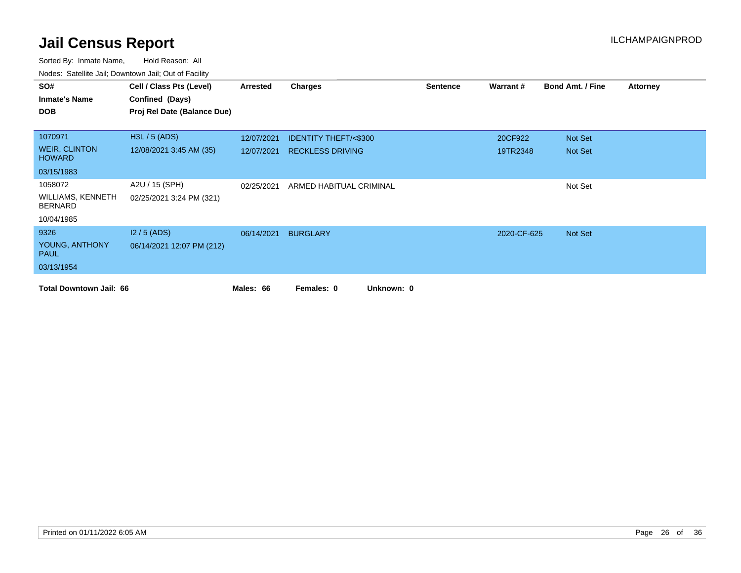| SO#                                        | Cell / Class Pts (Level)    | Arrested   | Charges                         | <b>Sentence</b> | Warrant#    | <b>Bond Amt. / Fine</b> | <b>Attorney</b> |
|--------------------------------------------|-----------------------------|------------|---------------------------------|-----------------|-------------|-------------------------|-----------------|
| <b>Inmate's Name</b>                       | Confined (Days)             |            |                                 |                 |             |                         |                 |
| <b>DOB</b>                                 | Proj Rel Date (Balance Due) |            |                                 |                 |             |                         |                 |
|                                            |                             |            |                                 |                 |             |                         |                 |
| 1070971                                    | H3L / 5 (ADS)               | 12/07/2021 | <b>IDENTITY THEFT/&lt;\$300</b> |                 | 20CF922     | Not Set                 |                 |
| <b>WEIR, CLINTON</b><br><b>HOWARD</b>      | 12/08/2021 3:45 AM (35)     | 12/07/2021 | <b>RECKLESS DRIVING</b>         |                 | 19TR2348    | Not Set                 |                 |
| 03/15/1983                                 |                             |            |                                 |                 |             |                         |                 |
| 1058072                                    | A2U / 15 (SPH)              | 02/25/2021 | ARMED HABITUAL CRIMINAL         |                 |             | Not Set                 |                 |
| <b>WILLIAMS, KENNETH</b><br><b>BERNARD</b> | 02/25/2021 3:24 PM (321)    |            |                                 |                 |             |                         |                 |
| 10/04/1985                                 |                             |            |                                 |                 |             |                         |                 |
| 9326                                       | $12/5$ (ADS)                | 06/14/2021 | <b>BURGLARY</b>                 |                 | 2020-CF-625 | Not Set                 |                 |
| YOUNG, ANTHONY<br><b>PAUL</b>              | 06/14/2021 12:07 PM (212)   |            |                                 |                 |             |                         |                 |
| 03/13/1954                                 |                             |            |                                 |                 |             |                         |                 |
| <b>Total Downtown Jail: 66</b>             |                             | Males: 66  | Unknown: 0<br>Females: 0        |                 |             |                         |                 |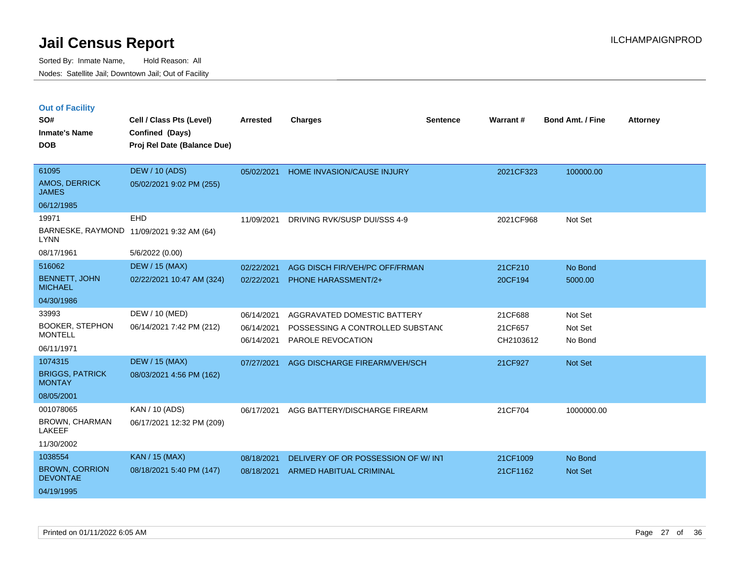|  | <b>Out of Facility</b> |  |
|--|------------------------|--|
|  |                        |  |

| SO#<br><b>Inmate's Name</b>              | Cell / Class Pts (Level)<br>Confined (Days) | <b>Arrested</b> | <b>Charges</b>                     | <b>Sentence</b> | Warrant#  | <b>Bond Amt. / Fine</b> | <b>Attorney</b> |
|------------------------------------------|---------------------------------------------|-----------------|------------------------------------|-----------------|-----------|-------------------------|-----------------|
| <b>DOB</b>                               | Proj Rel Date (Balance Due)                 |                 |                                    |                 |           |                         |                 |
| 61095                                    | <b>DEW / 10 (ADS)</b>                       | 05/02/2021      | HOME INVASION/CAUSE INJURY         |                 | 2021CF323 | 100000.00               |                 |
| AMOS, DERRICK<br><b>JAMES</b>            | 05/02/2021 9:02 PM (255)                    |                 |                                    |                 |           |                         |                 |
| 06/12/1985                               |                                             |                 |                                    |                 |           |                         |                 |
| 19971                                    | <b>EHD</b>                                  | 11/09/2021      | DRIVING RVK/SUSP DUI/SSS 4-9       |                 | 2021CF968 | Not Set                 |                 |
| <b>LYNN</b>                              | BARNESKE, RAYMOND 11/09/2021 9:32 AM (64)   |                 |                                    |                 |           |                         |                 |
| 08/17/1961                               | 5/6/2022 (0.00)                             |                 |                                    |                 |           |                         |                 |
| 516062                                   | <b>DEW / 15 (MAX)</b>                       | 02/22/2021      | AGG DISCH FIR/VEH/PC OFF/FRMAN     |                 | 21CF210   | No Bond                 |                 |
| <b>BENNETT, JOHN</b><br><b>MICHAEL</b>   | 02/22/2021 10:47 AM (324)                   | 02/22/2021      | PHONE HARASSMENT/2+                |                 | 20CF194   | 5000.00                 |                 |
| 04/30/1986                               |                                             |                 |                                    |                 |           |                         |                 |
| 33993                                    | DEW / 10 (MED)                              | 06/14/2021      | AGGRAVATED DOMESTIC BATTERY        |                 | 21CF688   | Not Set                 |                 |
| <b>BOOKER, STEPHON</b><br><b>MONTELL</b> | 06/14/2021 7:42 PM (212)                    | 06/14/2021      | POSSESSING A CONTROLLED SUBSTANC   |                 | 21CF657   | Not Set                 |                 |
| 06/11/1971                               |                                             | 06/14/2021      | PAROLE REVOCATION                  |                 | CH2103612 | No Bond                 |                 |
|                                          |                                             |                 |                                    |                 |           |                         |                 |
| 1074315                                  | <b>DEW / 15 (MAX)</b>                       | 07/27/2021      | AGG DISCHARGE FIREARM/VEH/SCH      |                 | 21CF927   | Not Set                 |                 |
| <b>BRIGGS, PATRICK</b><br><b>MONTAY</b>  | 08/03/2021 4:56 PM (162)                    |                 |                                    |                 |           |                         |                 |
| 08/05/2001                               |                                             |                 |                                    |                 |           |                         |                 |
| 001078065                                | KAN / 10 (ADS)                              | 06/17/2021      | AGG BATTERY/DISCHARGE FIREARM      |                 | 21CF704   | 1000000.00              |                 |
| BROWN, CHARMAN<br>LAKEEF                 | 06/17/2021 12:32 PM (209)                   |                 |                                    |                 |           |                         |                 |
| 11/30/2002                               |                                             |                 |                                    |                 |           |                         |                 |
| 1038554                                  | <b>KAN / 15 (MAX)</b>                       | 08/18/2021      | DELIVERY OF OR POSSESSION OF W/INT |                 | 21CF1009  | No Bond                 |                 |
| <b>BROWN, CORRION</b><br><b>DEVONTAE</b> | 08/18/2021 5:40 PM (147)                    | 08/18/2021      | <b>ARMED HABITUAL CRIMINAL</b>     |                 | 21CF1162  | <b>Not Set</b>          |                 |
| 04/19/1995                               |                                             |                 |                                    |                 |           |                         |                 |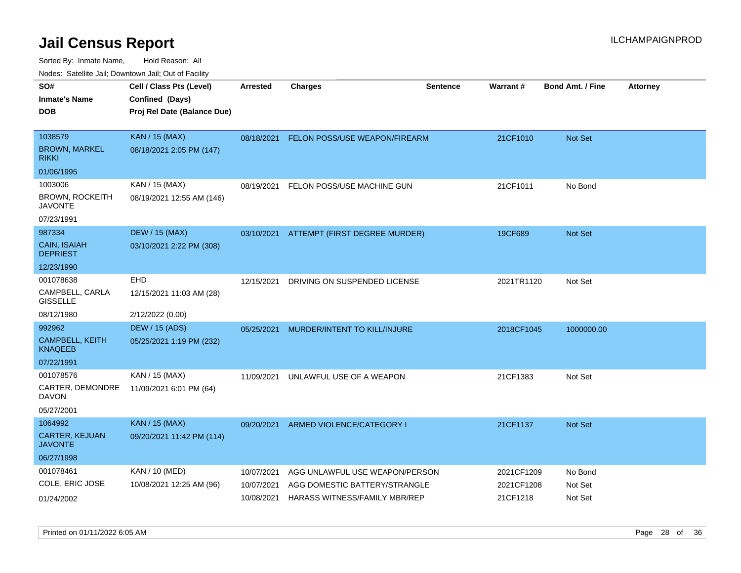| rouco. Calcillo Jali, Downtown Jali, Out of Facility |                 |                              |                                                                                                                     |                                                                                                                                                                                          |                         |                          |
|------------------------------------------------------|-----------------|------------------------------|---------------------------------------------------------------------------------------------------------------------|------------------------------------------------------------------------------------------------------------------------------------------------------------------------------------------|-------------------------|--------------------------|
| Cell / Class Pts (Level)                             | <b>Arrested</b> | <b>Charges</b>               | <b>Sentence</b>                                                                                                     |                                                                                                                                                                                          | <b>Bond Amt. / Fine</b> | <b>Attorney</b>          |
| Confined (Days)                                      |                 |                              |                                                                                                                     |                                                                                                                                                                                          |                         |                          |
| Proj Rel Date (Balance Due)                          |                 |                              |                                                                                                                     |                                                                                                                                                                                          |                         |                          |
|                                                      |                 |                              |                                                                                                                     |                                                                                                                                                                                          |                         |                          |
| <b>KAN / 15 (MAX)</b>                                |                 |                              |                                                                                                                     | 21CF1010                                                                                                                                                                                 | <b>Not Set</b>          |                          |
| 08/18/2021 2:05 PM (147)                             |                 |                              |                                                                                                                     |                                                                                                                                                                                          |                         |                          |
|                                                      |                 |                              |                                                                                                                     |                                                                                                                                                                                          |                         |                          |
| KAN / 15 (MAX)                                       | 08/19/2021      |                              |                                                                                                                     | 21CF1011                                                                                                                                                                                 | No Bond                 |                          |
| 08/19/2021 12:55 AM (146)                            |                 |                              |                                                                                                                     |                                                                                                                                                                                          |                         |                          |
|                                                      |                 |                              |                                                                                                                     |                                                                                                                                                                                          |                         |                          |
| <b>DEW / 15 (MAX)</b>                                |                 |                              |                                                                                                                     | 19CF689                                                                                                                                                                                  | <b>Not Set</b>          |                          |
| 03/10/2021 2:22 PM (308)                             |                 |                              |                                                                                                                     |                                                                                                                                                                                          |                         |                          |
|                                                      |                 |                              |                                                                                                                     |                                                                                                                                                                                          |                         |                          |
| EHD                                                  | 12/15/2021      | DRIVING ON SUSPENDED LICENSE |                                                                                                                     | 2021TR1120                                                                                                                                                                               | Not Set                 |                          |
| 12/15/2021 11:03 AM (28)                             |                 |                              |                                                                                                                     |                                                                                                                                                                                          |                         |                          |
| 2/12/2022 (0.00)                                     |                 |                              |                                                                                                                     |                                                                                                                                                                                          |                         |                          |
| <b>DEW / 15 (ADS)</b>                                | 05/25/2021      |                              |                                                                                                                     |                                                                                                                                                                                          | 1000000.00              |                          |
| 05/25/2021 1:19 PM (232)                             |                 |                              |                                                                                                                     |                                                                                                                                                                                          |                         |                          |
|                                                      |                 |                              |                                                                                                                     |                                                                                                                                                                                          |                         |                          |
| KAN / 15 (MAX)                                       | 11/09/2021      |                              |                                                                                                                     | 21CF1383                                                                                                                                                                                 | Not Set                 |                          |
| 11/09/2021 6:01 PM (64)                              |                 |                              |                                                                                                                     |                                                                                                                                                                                          |                         |                          |
|                                                      |                 |                              |                                                                                                                     |                                                                                                                                                                                          |                         |                          |
| <b>KAN / 15 (MAX)</b>                                | 09/20/2021      |                              |                                                                                                                     | 21CF1137                                                                                                                                                                                 | <b>Not Set</b>          |                          |
| 09/20/2021 11:42 PM (114)                            |                 |                              |                                                                                                                     |                                                                                                                                                                                          |                         |                          |
|                                                      |                 |                              |                                                                                                                     |                                                                                                                                                                                          |                         |                          |
| KAN / 10 (MED)                                       | 10/07/2021      |                              |                                                                                                                     | 2021CF1209                                                                                                                                                                               | No Bond                 |                          |
| 10/08/2021 12:25 AM (96)                             | 10/07/2021      |                              |                                                                                                                     |                                                                                                                                                                                          | Not Set                 |                          |
|                                                      | 10/08/2021      |                              |                                                                                                                     | 21CF1218                                                                                                                                                                                 | Not Set                 |                          |
|                                                      |                 |                              | FELON POSS/USE MACHINE GUN<br>MURDER/INTENT TO KILL/INJURE<br>UNLAWFUL USE OF A WEAPON<br>ARMED VIOLENCE/CATEGORY I | 08/18/2021 FELON POSS/USE WEAPON/FIREARM<br>03/10/2021 ATTEMPT (FIRST DEGREE MURDER)<br>AGG UNLAWFUL USE WEAPON/PERSON<br>AGG DOMESTIC BATTERY/STRANGLE<br>HARASS WITNESS/FAMILY MBR/REP | Warrant#                | 2018CF1045<br>2021CF1208 |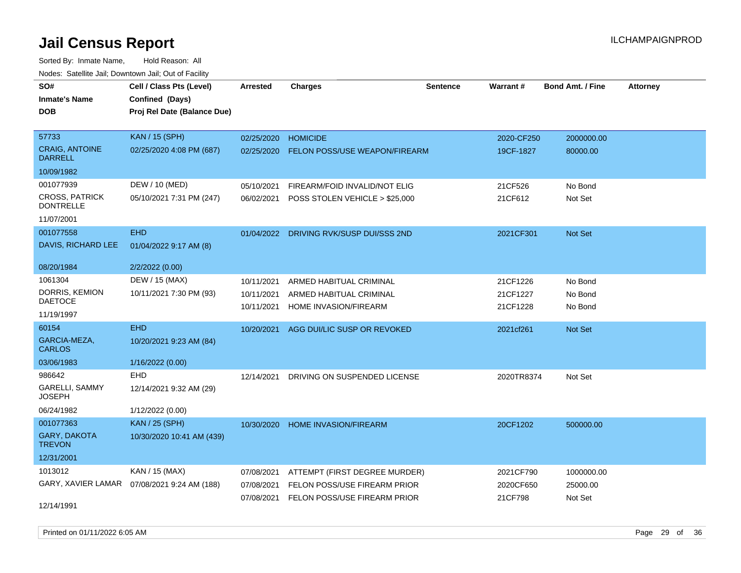| rouce. Calcinic Jan, Downtown Jan, Out or Facility |                                              |                 |                                         |                 |            |                         |                 |
|----------------------------------------------------|----------------------------------------------|-----------------|-----------------------------------------|-----------------|------------|-------------------------|-----------------|
| SO#                                                | Cell / Class Pts (Level)                     | <b>Arrested</b> | <b>Charges</b>                          | <b>Sentence</b> | Warrant#   | <b>Bond Amt. / Fine</b> | <b>Attorney</b> |
| <b>Inmate's Name</b>                               | Confined (Days)                              |                 |                                         |                 |            |                         |                 |
| <b>DOB</b>                                         | Proj Rel Date (Balance Due)                  |                 |                                         |                 |            |                         |                 |
|                                                    |                                              |                 |                                         |                 |            |                         |                 |
| 57733                                              | <b>KAN / 15 (SPH)</b>                        | 02/25/2020      | <b>HOMICIDE</b>                         |                 | 2020-CF250 | 2000000.00              |                 |
| <b>CRAIG, ANTOINE</b><br><b>DARRELL</b>            | 02/25/2020 4:08 PM (687)                     | 02/25/2020      | <b>FELON POSS/USE WEAPON/FIREARM</b>    |                 | 19CF-1827  | 80000.00                |                 |
| 10/09/1982                                         |                                              |                 |                                         |                 |            |                         |                 |
| 001077939                                          | DEW / 10 (MED)                               | 05/10/2021      | FIREARM/FOID INVALID/NOT ELIG           |                 | 21CF526    | No Bond                 |                 |
| <b>CROSS, PATRICK</b><br><b>DONTRELLE</b>          | 05/10/2021 7:31 PM (247)                     | 06/02/2021      | POSS STOLEN VEHICLE > \$25,000          |                 | 21CF612    | Not Set                 |                 |
| 11/07/2001                                         |                                              |                 |                                         |                 |            |                         |                 |
| 001077558                                          | <b>EHD</b>                                   |                 | 01/04/2022 DRIVING RVK/SUSP DUI/SSS 2ND |                 | 2021CF301  | Not Set                 |                 |
| DAVIS, RICHARD LEE                                 | 01/04/2022 9:17 AM (8)                       |                 |                                         |                 |            |                         |                 |
| 08/20/1984                                         | 2/2/2022 (0.00)                              |                 |                                         |                 |            |                         |                 |
| 1061304                                            | DEW / 15 (MAX)                               | 10/11/2021      | ARMED HABITUAL CRIMINAL                 |                 | 21CF1226   | No Bond                 |                 |
| DORRIS, KEMION                                     | 10/11/2021 7:30 PM (93)                      | 10/11/2021      | ARMED HABITUAL CRIMINAL                 |                 | 21CF1227   | No Bond                 |                 |
| <b>DAETOCE</b>                                     |                                              | 10/11/2021      | HOME INVASION/FIREARM                   |                 | 21CF1228   | No Bond                 |                 |
| 11/19/1997                                         |                                              |                 |                                         |                 |            |                         |                 |
| 60154                                              | <b>EHD</b>                                   |                 | 10/20/2021 AGG DUI/LIC SUSP OR REVOKED  |                 | 2021cf261  | Not Set                 |                 |
| GARCIA-MEZA,<br><b>CARLOS</b>                      | 10/20/2021 9:23 AM (84)                      |                 |                                         |                 |            |                         |                 |
| 03/06/1983                                         | 1/16/2022 (0.00)                             |                 |                                         |                 |            |                         |                 |
| 986642                                             | EHD                                          | 12/14/2021      | DRIVING ON SUSPENDED LICENSE            |                 | 2020TR8374 | Not Set                 |                 |
| GARELLI, SAMMY<br><b>JOSEPH</b>                    | 12/14/2021 9:32 AM (29)                      |                 |                                         |                 |            |                         |                 |
| 06/24/1982                                         | 1/12/2022 (0.00)                             |                 |                                         |                 |            |                         |                 |
| 001077363                                          | <b>KAN / 25 (SPH)</b>                        | 10/30/2020      | <b>HOME INVASION/FIREARM</b>            |                 | 20CF1202   | 500000.00               |                 |
| <b>GARY, DAKOTA</b><br><b>TREVON</b>               | 10/30/2020 10:41 AM (439)                    |                 |                                         |                 |            |                         |                 |
| 12/31/2001                                         |                                              |                 |                                         |                 |            |                         |                 |
| 1013012                                            | KAN / 15 (MAX)                               | 07/08/2021      | ATTEMPT (FIRST DEGREE MURDER)           |                 | 2021CF790  | 1000000.00              |                 |
|                                                    | GARY, XAVIER LAMAR  07/08/2021 9:24 AM (188) | 07/08/2021      | FELON POSS/USE FIREARM PRIOR            |                 | 2020CF650  | 25000.00                |                 |
|                                                    |                                              | 07/08/2021      | FELON POSS/USE FIREARM PRIOR            |                 | 21CF798    | Not Set                 |                 |
| 12/14/1991                                         |                                              |                 |                                         |                 |            |                         |                 |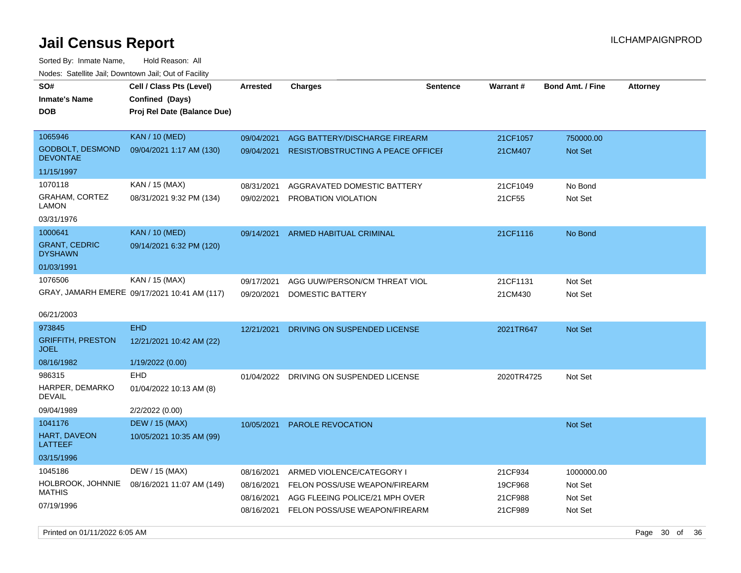Sorted By: Inmate Name, Hold Reason: All Nodes: Satellite Jail; Downtown Jail; Out of Facility

| wacs. Calcinic Jan, Downtown Jan, Out of Facility |                                              |                 |                                           |                 |            |                         |                 |
|---------------------------------------------------|----------------------------------------------|-----------------|-------------------------------------------|-----------------|------------|-------------------------|-----------------|
| SO#                                               | Cell / Class Pts (Level)                     | <b>Arrested</b> | <b>Charges</b>                            | <b>Sentence</b> | Warrant#   | <b>Bond Amt. / Fine</b> | <b>Attorney</b> |
| Inmate's Name                                     | Confined (Days)                              |                 |                                           |                 |            |                         |                 |
| <b>DOB</b>                                        | Proj Rel Date (Balance Due)                  |                 |                                           |                 |            |                         |                 |
|                                                   |                                              |                 |                                           |                 |            |                         |                 |
| 1065946                                           | <b>KAN / 10 (MED)</b>                        | 09/04/2021      | AGG BATTERY/DISCHARGE FIREARM             |                 | 21CF1057   | 750000.00               |                 |
| <b>GODBOLT, DESMOND</b><br><b>DEVONTAE</b>        | 09/04/2021 1:17 AM (130)                     | 09/04/2021      | <b>RESIST/OBSTRUCTING A PEACE OFFICEF</b> |                 | 21CM407    | <b>Not Set</b>          |                 |
| 11/15/1997                                        |                                              |                 |                                           |                 |            |                         |                 |
| 1070118                                           | KAN / 15 (MAX)                               | 08/31/2021      | AGGRAVATED DOMESTIC BATTERY               |                 | 21CF1049   | No Bond                 |                 |
| GRAHAM, CORTEZ<br>LAMON                           | 08/31/2021 9:32 PM (134)                     | 09/02/2021      | PROBATION VIOLATION                       |                 | 21CF55     | Not Set                 |                 |
| 03/31/1976                                        |                                              |                 |                                           |                 |            |                         |                 |
| 1000641                                           | <b>KAN / 10 (MED)</b>                        | 09/14/2021      | ARMED HABITUAL CRIMINAL                   |                 | 21CF1116   | No Bond                 |                 |
| <b>GRANT, CEDRIC</b><br><b>DYSHAWN</b>            | 09/14/2021 6:32 PM (120)                     |                 |                                           |                 |            |                         |                 |
| 01/03/1991                                        |                                              |                 |                                           |                 |            |                         |                 |
| 1076506                                           | KAN / 15 (MAX)                               | 09/17/2021      | AGG UUW/PERSON/CM THREAT VIOL             |                 | 21CF1131   | Not Set                 |                 |
|                                                   | GRAY, JAMARH EMERE 09/17/2021 10:41 AM (117) | 09/20/2021      | DOMESTIC BATTERY                          |                 | 21CM430    | Not Set                 |                 |
|                                                   |                                              |                 |                                           |                 |            |                         |                 |
| 06/21/2003                                        |                                              |                 |                                           |                 |            |                         |                 |
| 973845                                            | <b>EHD</b>                                   | 12/21/2021      | DRIVING ON SUSPENDED LICENSE              |                 | 2021TR647  | Not Set                 |                 |
| <b>GRIFFITH, PRESTON</b><br><b>JOEL</b>           | 12/21/2021 10:42 AM (22)                     |                 |                                           |                 |            |                         |                 |
| 08/16/1982                                        | 1/19/2022 (0.00)                             |                 |                                           |                 |            |                         |                 |
| 986315                                            | EHD                                          | 01/04/2022      | DRIVING ON SUSPENDED LICENSE              |                 | 2020TR4725 | Not Set                 |                 |
| HARPER, DEMARKO<br>DEVAIL                         | 01/04/2022 10:13 AM (8)                      |                 |                                           |                 |            |                         |                 |
| 09/04/1989                                        | 2/2/2022 (0.00)                              |                 |                                           |                 |            |                         |                 |
| 1041176                                           | <b>DEW / 15 (MAX)</b>                        | 10/05/2021      | <b>PAROLE REVOCATION</b>                  |                 |            | <b>Not Set</b>          |                 |
| HART, DAVEON<br><b>LATTEEF</b>                    | 10/05/2021 10:35 AM (99)                     |                 |                                           |                 |            |                         |                 |
| 03/15/1996                                        |                                              |                 |                                           |                 |            |                         |                 |
| 1045186                                           | DEW / 15 (MAX)                               | 08/16/2021      | ARMED VIOLENCE/CATEGORY I                 |                 | 21CF934    | 1000000.00              |                 |
| HOLBROOK, JOHNNIE                                 | 08/16/2021 11:07 AM (149)                    | 08/16/2021      | FELON POSS/USE WEAPON/FIREARM             |                 | 19CF968    | Not Set                 |                 |
| <b>MATHIS</b>                                     |                                              | 08/16/2021      | AGG FLEEING POLICE/21 MPH OVER            |                 | 21CF988    | Not Set                 |                 |
| 07/19/1996                                        |                                              | 08/16/2021      | FELON POSS/USE WEAPON/FIREARM             |                 | 21CF989    | Not Set                 |                 |
|                                                   |                                              |                 |                                           |                 |            |                         |                 |

Printed on 01/11/2022 6:05 AM Page 30 of 36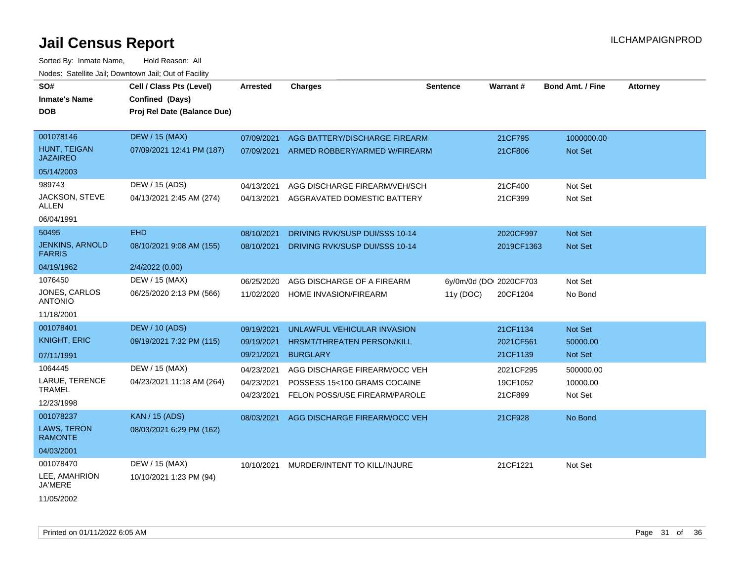| SO#<br><b>Inmate's Name</b><br><b>DOB</b>                      | Cell / Class Pts (Level)<br>Confined (Days)<br>Proj Rel Date (Balance Due) | Arrested                               | <b>Charges</b>                                                                                 | <b>Sentence</b> | <b>Warrant#</b>                     | Bond Amt. / Fine                 | <b>Attorney</b> |
|----------------------------------------------------------------|----------------------------------------------------------------------------|----------------------------------------|------------------------------------------------------------------------------------------------|-----------------|-------------------------------------|----------------------------------|-----------------|
| 001078146<br><b>HUNT. TEIGAN</b><br><b>JAZAIREO</b>            | <b>DEW / 15 (MAX)</b><br>07/09/2021 12:41 PM (187)                         | 07/09/2021<br>07/09/2021               | AGG BATTERY/DISCHARGE FIREARM<br>ARMED ROBBERY/ARMED W/FIREARM                                 |                 | 21CF795<br>21CF806                  | 1000000.00<br>Not Set            |                 |
| 05/14/2003<br>989743<br>JACKSON, STEVE<br>ALLEN<br>06/04/1991  | DEW / 15 (ADS)<br>04/13/2021 2:45 AM (274)                                 | 04/13/2021<br>04/13/2021               | AGG DISCHARGE FIREARM/VEH/SCH<br>AGGRAVATED DOMESTIC BATTERY                                   |                 | 21CF400<br>21CF399                  | Not Set<br>Not Set               |                 |
| 50495<br><b>JENKINS, ARNOLD</b><br><b>FARRIS</b><br>04/19/1962 | <b>EHD</b><br>08/10/2021 9:08 AM (155)<br>2/4/2022 (0.00)                  | 08/10/2021<br>08/10/2021               | DRIVING RVK/SUSP DUI/SSS 10-14<br>DRIVING RVK/SUSP DUI/SSS 10-14                               |                 | 2020CF997<br>2019CF1363             | <b>Not Set</b><br>Not Set        |                 |
| 1076450<br>JONES, CARLOS<br><b>ANTONIO</b><br>11/18/2001       | DEW / 15 (MAX)<br>06/25/2020 2:13 PM (566)                                 | 06/25/2020<br>11/02/2020               | AGG DISCHARGE OF A FIREARM<br>HOME INVASION/FIREARM                                            | 11y(DOC)        | 6y/0m/0d (DOI 2020CF703<br>20CF1204 | Not Set<br>No Bond               |                 |
| 001078401<br><b>KNIGHT, ERIC</b><br>07/11/1991                 | <b>DEW / 10 (ADS)</b><br>09/19/2021 7:32 PM (115)                          | 09/19/2021<br>09/19/2021<br>09/21/2021 | UNLAWFUL VEHICULAR INVASION<br>HRSMT/THREATEN PERSON/KILL<br><b>BURGLARY</b>                   |                 | 21CF1134<br>2021CF561<br>21CF1139   | Not Set<br>50000.00<br>Not Set   |                 |
| 1064445<br>LARUE, TERENCE<br><b>TRAMEL</b><br>12/23/1998       | DEW / 15 (MAX)<br>04/23/2021 11:18 AM (264)                                | 04/23/2021<br>04/23/2021<br>04/23/2021 | AGG DISCHARGE FIREARM/OCC VEH<br>POSSESS 15<100 GRAMS COCAINE<br>FELON POSS/USE FIREARM/PAROLE |                 | 2021CF295<br>19CF1052<br>21CF899    | 500000.00<br>10000.00<br>Not Set |                 |
| 001078237<br>LAWS, TERON<br><b>RAMONTE</b><br>04/03/2001       | <b>KAN / 15 (ADS)</b><br>08/03/2021 6:29 PM (162)                          | 08/03/2021                             | AGG DISCHARGE FIREARM/OCC VEH                                                                  |                 | 21CF928                             | No Bond                          |                 |
| 001078470<br>LEE, AMAHRION<br>JA'MERE<br>11/05/2002            | DEW / 15 (MAX)<br>10/10/2021 1:23 PM (94)                                  | 10/10/2021                             | MURDER/INTENT TO KILL/INJURE                                                                   |                 | 21CF1221                            | Not Set                          |                 |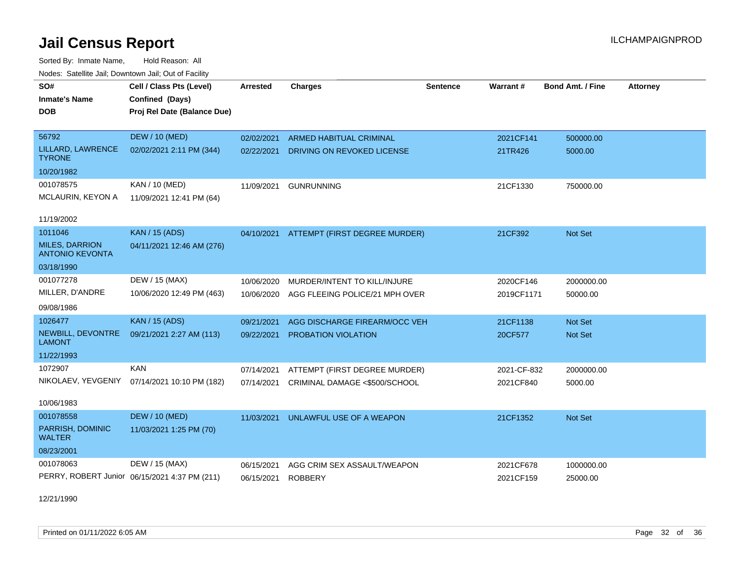Sorted By: Inmate Name, Hold Reason: All Nodes: Satellite Jail; Downtown Jail; Out of Facility

| SO#<br><b>Inmate's Name</b><br><b>DOB</b>       | Cell / Class Pts (Level)<br>Confined (Days)<br>Proj Rel Date (Balance Due) | <b>Arrested</b> | <b>Charges</b>                           | <b>Sentence</b> | Warrant#    | <b>Bond Amt. / Fine</b> | <b>Attorney</b> |
|-------------------------------------------------|----------------------------------------------------------------------------|-----------------|------------------------------------------|-----------------|-------------|-------------------------|-----------------|
| 56792                                           | <b>DEW / 10 (MED)</b>                                                      | 02/02/2021      | <b>ARMED HABITUAL CRIMINAL</b>           |                 | 2021CF141   | 500000.00               |                 |
| LILLARD, LAWRENCE<br><b>TYRONE</b>              | 02/02/2021 2:11 PM (344)                                                   | 02/22/2021      | DRIVING ON REVOKED LICENSE               |                 | 21TR426     | 5000.00                 |                 |
| 10/20/1982                                      |                                                                            |                 |                                          |                 |             |                         |                 |
| 001078575                                       | KAN / 10 (MED)                                                             | 11/09/2021      | <b>GUNRUNNING</b>                        |                 | 21CF1330    | 750000.00               |                 |
| MCLAURIN, KEYON A                               | 11/09/2021 12:41 PM (64)                                                   |                 |                                          |                 |             |                         |                 |
| 11/19/2002                                      |                                                                            |                 |                                          |                 |             |                         |                 |
| 1011046                                         | <b>KAN / 15 (ADS)</b>                                                      |                 | 04/10/2021 ATTEMPT (FIRST DEGREE MURDER) |                 | 21CF392     | Not Set                 |                 |
| <b>MILES, DARRION</b><br><b>ANTONIO KEVONTA</b> | 04/11/2021 12:46 AM (276)                                                  |                 |                                          |                 |             |                         |                 |
| 03/18/1990                                      |                                                                            |                 |                                          |                 |             |                         |                 |
| 001077278                                       | DEW / 15 (MAX)                                                             | 10/06/2020      | MURDER/INTENT TO KILL/INJURE             |                 | 2020CF146   | 2000000.00              |                 |
| MILLER, D'ANDRE                                 | 10/06/2020 12:49 PM (463)                                                  | 10/06/2020      | AGG FLEEING POLICE/21 MPH OVER           |                 | 2019CF1171  | 50000.00                |                 |
| 09/08/1986                                      |                                                                            |                 |                                          |                 |             |                         |                 |
| 1026477                                         | <b>KAN / 15 (ADS)</b>                                                      | 09/21/2021      | AGG DISCHARGE FIREARM/OCC VEH            |                 | 21CF1138    | Not Set                 |                 |
| NEWBILL, DEVONTRE<br><b>LAMONT</b>              | 09/21/2021 2:27 AM (113)                                                   | 09/22/2021      | PROBATION VIOLATION                      |                 | 20CF577     | Not Set                 |                 |
| 11/22/1993                                      |                                                                            |                 |                                          |                 |             |                         |                 |
| 1072907                                         | <b>KAN</b>                                                                 | 07/14/2021      | ATTEMPT (FIRST DEGREE MURDER)            |                 | 2021-CF-832 | 2000000.00              |                 |
|                                                 | NIKOLAEV, YEVGENIY 07/14/2021 10:10 PM (182)                               | 07/14/2021      | CRIMINAL DAMAGE <\$500/SCHOOL            |                 | 2021CF840   | 5000.00                 |                 |
| 10/06/1983                                      |                                                                            |                 |                                          |                 |             |                         |                 |
| 001078558                                       | <b>DEW / 10 (MED)</b>                                                      | 11/03/2021      | UNLAWFUL USE OF A WEAPON                 |                 | 21CF1352    | Not Set                 |                 |
| PARRISH, DOMINIC<br><b>WALTER</b>               | 11/03/2021 1:25 PM (70)                                                    |                 |                                          |                 |             |                         |                 |
| 08/23/2001                                      |                                                                            |                 |                                          |                 |             |                         |                 |
| 001078063                                       | DEW / 15 (MAX)                                                             | 06/15/2021      | AGG CRIM SEX ASSAULT/WEAPON              |                 | 2021CF678   | 1000000.00              |                 |
|                                                 | PERRY, ROBERT Junior 06/15/2021 4:37 PM (211)                              | 06/15/2021      | <b>ROBBERY</b>                           |                 | 2021CF159   | 25000.00                |                 |

12/21/1990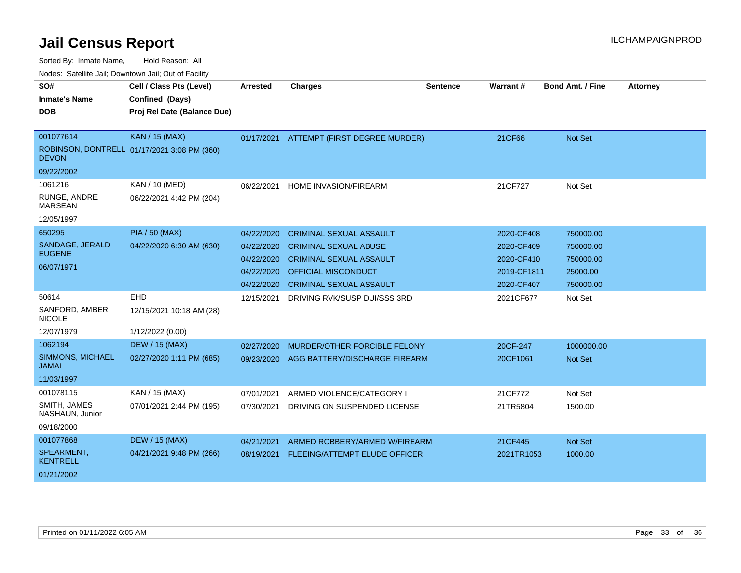Sorted By: Inmate Name, Hold Reason: All

|  | Nodes: Satellite Jail; Downtown Jail; Out of Facility |  |
|--|-------------------------------------------------------|--|
|  |                                                       |  |

| SO#                              | Cell / Class Pts (Level)                    | <b>Arrested</b> | <b>Charges</b>                           | <b>Sentence</b> | Warrant#    | <b>Bond Amt. / Fine</b> | <b>Attorney</b> |
|----------------------------------|---------------------------------------------|-----------------|------------------------------------------|-----------------|-------------|-------------------------|-----------------|
| <b>Inmate's Name</b>             | Confined (Days)                             |                 |                                          |                 |             |                         |                 |
| <b>DOB</b>                       | Proj Rel Date (Balance Due)                 |                 |                                          |                 |             |                         |                 |
|                                  |                                             |                 |                                          |                 |             |                         |                 |
| 001077614                        | <b>KAN / 15 (MAX)</b>                       |                 | 01/17/2021 ATTEMPT (FIRST DEGREE MURDER) |                 | 21CF66      | Not Set                 |                 |
| <b>DEVON</b>                     | ROBINSON, DONTRELL 01/17/2021 3:08 PM (360) |                 |                                          |                 |             |                         |                 |
| 09/22/2002                       |                                             |                 |                                          |                 |             |                         |                 |
| 1061216                          | KAN / 10 (MED)                              | 06/22/2021      | HOME INVASION/FIREARM                    |                 | 21CF727     | Not Set                 |                 |
| RUNGE, ANDRE<br><b>MARSEAN</b>   | 06/22/2021 4:42 PM (204)                    |                 |                                          |                 |             |                         |                 |
| 12/05/1997                       |                                             |                 |                                          |                 |             |                         |                 |
| 650295                           | <b>PIA / 50 (MAX)</b>                       | 04/22/2020      | <b>CRIMINAL SEXUAL ASSAULT</b>           |                 | 2020-CF408  | 750000.00               |                 |
| SANDAGE, JERALD                  | 04/22/2020 6:30 AM (630)                    | 04/22/2020      | <b>CRIMINAL SEXUAL ABUSE</b>             |                 | 2020-CF409  | 750000.00               |                 |
| <b>EUGENE</b>                    |                                             | 04/22/2020      | <b>CRIMINAL SEXUAL ASSAULT</b>           |                 | 2020-CF410  | 750000.00               |                 |
| 06/07/1971                       |                                             | 04/22/2020      | <b>OFFICIAL MISCONDUCT</b>               |                 | 2019-CF1811 | 25000.00                |                 |
|                                  |                                             | 04/22/2020      | <b>CRIMINAL SEXUAL ASSAULT</b>           |                 | 2020-CF407  | 750000.00               |                 |
| 50614                            | EHD                                         | 12/15/2021      | DRIVING RVK/SUSP DUI/SSS 3RD             |                 | 2021CF677   | Not Set                 |                 |
| SANFORD, AMBER<br><b>NICOLE</b>  | 12/15/2021 10:18 AM (28)                    |                 |                                          |                 |             |                         |                 |
| 12/07/1979                       | 1/12/2022 (0.00)                            |                 |                                          |                 |             |                         |                 |
| 1062194                          | <b>DEW / 15 (MAX)</b>                       | 02/27/2020      | MURDER/OTHER FORCIBLE FELONY             |                 | 20CF-247    | 1000000.00              |                 |
| SIMMONS, MICHAEL<br><b>JAMAL</b> | 02/27/2020 1:11 PM (685)                    | 09/23/2020      | AGG BATTERY/DISCHARGE FIREARM            |                 | 20CF1061    | Not Set                 |                 |
| 11/03/1997                       |                                             |                 |                                          |                 |             |                         |                 |
| 001078115                        | KAN / 15 (MAX)                              | 07/01/2021      | ARMED VIOLENCE/CATEGORY I                |                 | 21CF772     | Not Set                 |                 |
| SMITH, JAMES<br>NASHAUN, Junior  | 07/01/2021 2:44 PM (195)                    | 07/30/2021      | DRIVING ON SUSPENDED LICENSE             |                 | 21TR5804    | 1500.00                 |                 |
| 09/18/2000                       |                                             |                 |                                          |                 |             |                         |                 |
| 001077868                        | <b>DEW / 15 (MAX)</b>                       | 04/21/2021      | ARMED ROBBERY/ARMED W/FIREARM            |                 | 21CF445     | Not Set                 |                 |
| SPEARMENT,<br><b>KENTRELL</b>    | 04/21/2021 9:48 PM (266)                    | 08/19/2021      | FLEEING/ATTEMPT ELUDE OFFICER            |                 | 2021TR1053  | 1000.00                 |                 |
| 01/21/2002                       |                                             |                 |                                          |                 |             |                         |                 |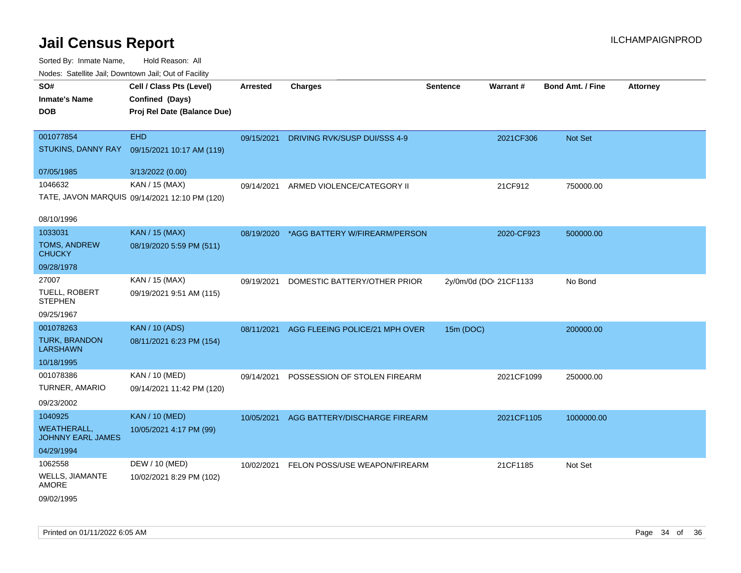| ivouss. Saleline Jali, Downtown Jali, Out of Facility |                                               |                 |                                          |                        |            |                         |                 |
|-------------------------------------------------------|-----------------------------------------------|-----------------|------------------------------------------|------------------------|------------|-------------------------|-----------------|
| SO#                                                   | Cell / Class Pts (Level)                      | <b>Arrested</b> | <b>Charges</b>                           | <b>Sentence</b>        | Warrant#   | <b>Bond Amt. / Fine</b> | <b>Attorney</b> |
| <b>Inmate's Name</b>                                  | Confined (Days)                               |                 |                                          |                        |            |                         |                 |
| <b>DOB</b>                                            | Proj Rel Date (Balance Due)                   |                 |                                          |                        |            |                         |                 |
|                                                       |                                               |                 |                                          |                        |            |                         |                 |
| 001077854                                             | <b>EHD</b>                                    | 09/15/2021      | DRIVING RVK/SUSP DUI/SSS 4-9             |                        | 2021CF306  | Not Set                 |                 |
| STUKINS, DANNY RAY                                    | 09/15/2021 10:17 AM (119)                     |                 |                                          |                        |            |                         |                 |
| 07/05/1985                                            | 3/13/2022 (0.00)                              |                 |                                          |                        |            |                         |                 |
| 1046632                                               | KAN / 15 (MAX)                                | 09/14/2021      | ARMED VIOLENCE/CATEGORY II               |                        | 21CF912    | 750000.00               |                 |
|                                                       | TATE, JAVON MARQUIS 09/14/2021 12:10 PM (120) |                 |                                          |                        |            |                         |                 |
| 08/10/1996                                            |                                               |                 |                                          |                        |            |                         |                 |
| 1033031                                               | <b>KAN / 15 (MAX)</b>                         |                 | 08/19/2020 *AGG BATTERY W/FIREARM/PERSON |                        | 2020-CF923 | 500000.00               |                 |
| TOMS, ANDREW<br><b>CHUCKY</b>                         | 08/19/2020 5:59 PM (511)                      |                 |                                          |                        |            |                         |                 |
| 09/28/1978                                            |                                               |                 |                                          |                        |            |                         |                 |
| 27007                                                 | KAN / 15 (MAX)                                | 09/19/2021      | DOMESTIC BATTERY/OTHER PRIOR             | 2y/0m/0d (DOI 21CF1133 |            | No Bond                 |                 |
| <b>TUELL, ROBERT</b><br><b>STEPHEN</b>                | 09/19/2021 9:51 AM (115)                      |                 |                                          |                        |            |                         |                 |
| 09/25/1967                                            |                                               |                 |                                          |                        |            |                         |                 |
| 001078263                                             | <b>KAN / 10 (ADS)</b>                         | 08/11/2021      | AGG FLEEING POLICE/21 MPH OVER           | 15m (DOC)              |            | 200000.00               |                 |
| <b>TURK, BRANDON</b><br><b>LARSHAWN</b>               | 08/11/2021 6:23 PM (154)                      |                 |                                          |                        |            |                         |                 |
| 10/18/1995                                            |                                               |                 |                                          |                        |            |                         |                 |
| 001078386                                             | <b>KAN / 10 (MED)</b>                         |                 | 09/14/2021 POSSESSION OF STOLEN FIREARM  |                        | 2021CF1099 | 250000.00               |                 |
| TURNER, AMARIO                                        | 09/14/2021 11:42 PM (120)                     |                 |                                          |                        |            |                         |                 |
| 09/23/2002                                            |                                               |                 |                                          |                        |            |                         |                 |
| 1040925                                               | <b>KAN / 10 (MED)</b>                         | 10/05/2021      | AGG BATTERY/DISCHARGE FIREARM            |                        | 2021CF1105 | 1000000.00              |                 |
| <b>WEATHERALL,</b><br><b>JOHNNY EARL JAMES</b>        | 10/05/2021 4:17 PM (99)                       |                 |                                          |                        |            |                         |                 |
| 04/29/1994                                            |                                               |                 |                                          |                        |            |                         |                 |
| 1062558                                               | DEW / 10 (MED)                                |                 | 10/02/2021 FELON POSS/USE WEAPON/FIREARM |                        | 21CF1185   | Not Set                 |                 |
| <b>WELLS, JIAMANTE</b><br>AMORE                       | 10/02/2021 8:29 PM (102)                      |                 |                                          |                        |            |                         |                 |
| 09/02/1995                                            |                                               |                 |                                          |                        |            |                         |                 |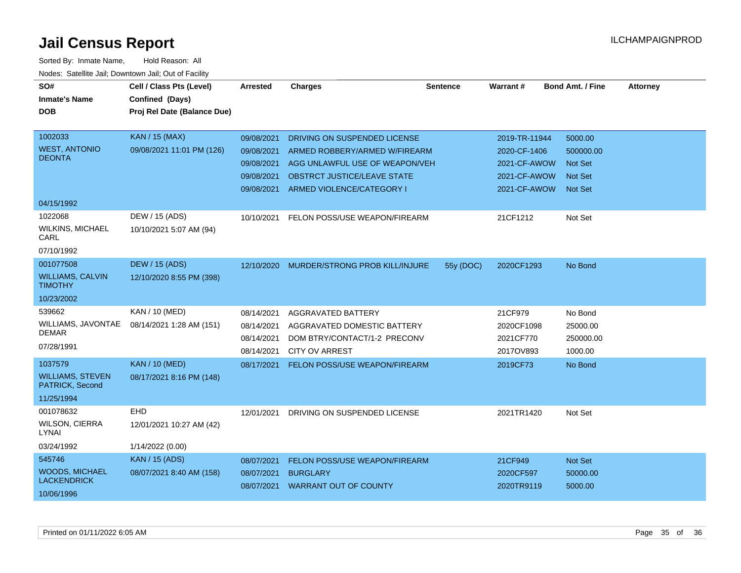| SO#<br><b>Inmate's Name</b><br>DOB          | Cell / Class Pts (Level)<br>Confined (Days)<br>Proj Rel Date (Balance Due) | Arrested   | <b>Charges</b>                     | <b>Sentence</b> | Warrant#      | <b>Bond Amt. / Fine</b> | <b>Attorney</b> |
|---------------------------------------------|----------------------------------------------------------------------------|------------|------------------------------------|-----------------|---------------|-------------------------|-----------------|
|                                             |                                                                            |            |                                    |                 |               |                         |                 |
| 1002033                                     | <b>KAN / 15 (MAX)</b>                                                      | 09/08/2021 | DRIVING ON SUSPENDED LICENSE       |                 | 2019-TR-11944 | 5000.00                 |                 |
| <b>WEST, ANTONIO</b>                        | 09/08/2021 11:01 PM (126)                                                  | 09/08/2021 | ARMED ROBBERY/ARMED W/FIREARM      |                 | 2020-CF-1406  | 500000.00               |                 |
| <b>DEONTA</b>                               |                                                                            | 09/08/2021 | AGG UNLAWFUL USE OF WEAPON/VEH     |                 | 2021-CF-AWOW  | <b>Not Set</b>          |                 |
|                                             |                                                                            | 09/08/2021 | <b>OBSTRCT JUSTICE/LEAVE STATE</b> |                 | 2021-CF-AWOW  | <b>Not Set</b>          |                 |
|                                             |                                                                            | 09/08/2021 | ARMED VIOLENCE/CATEGORY I          |                 | 2021-CF-AWOW  | <b>Not Set</b>          |                 |
| 04/15/1992                                  |                                                                            |            |                                    |                 |               |                         |                 |
| 1022068                                     | DEW / 15 (ADS)                                                             | 10/10/2021 | FELON POSS/USE WEAPON/FIREARM      |                 | 21CF1212      | Not Set                 |                 |
| <b>WILKINS, MICHAEL</b><br>CARL             | 10/10/2021 5:07 AM (94)                                                    |            |                                    |                 |               |                         |                 |
| 07/10/1992                                  |                                                                            |            |                                    |                 |               |                         |                 |
| 001077508                                   | <b>DEW / 15 (ADS)</b>                                                      | 12/10/2020 | MURDER/STRONG PROB KILL/INJURE     | 55y (DOC)       | 2020CF1293    | No Bond                 |                 |
| <b>WILLIAMS, CALVIN</b><br><b>TIMOTHY</b>   | 12/10/2020 8:55 PM (398)                                                   |            |                                    |                 |               |                         |                 |
| 10/23/2002                                  |                                                                            |            |                                    |                 |               |                         |                 |
| 539662                                      | KAN / 10 (MED)                                                             | 08/14/2021 | <b>AGGRAVATED BATTERY</b>          |                 | 21CF979       | No Bond                 |                 |
| WILLIAMS, JAVONTAE                          | 08/14/2021 1:28 AM (151)                                                   | 08/14/2021 | AGGRAVATED DOMESTIC BATTERY        |                 | 2020CF1098    | 25000.00                |                 |
| <b>DEMAR</b>                                |                                                                            | 08/14/2021 | DOM BTRY/CONTACT/1-2 PRECONV       |                 | 2021CF770     | 250000.00               |                 |
| 07/28/1991                                  |                                                                            | 08/14/2021 | <b>CITY OV ARREST</b>              |                 | 2017OV893     | 1000.00                 |                 |
| 1037579                                     | <b>KAN / 10 (MED)</b>                                                      | 08/17/2021 | FELON POSS/USE WEAPON/FIREARM      |                 | 2019CF73      | No Bond                 |                 |
| <b>WILLIAMS, STEVEN</b><br>PATRICK, Second  | 08/17/2021 8:16 PM (148)                                                   |            |                                    |                 |               |                         |                 |
| 11/25/1994                                  |                                                                            |            |                                    |                 |               |                         |                 |
| 001078632                                   | EHD                                                                        | 12/01/2021 | DRIVING ON SUSPENDED LICENSE       |                 | 2021TR1420    | Not Set                 |                 |
| <b>WILSON, CIERRA</b><br>LYNAI              | 12/01/2021 10:27 AM (42)                                                   |            |                                    |                 |               |                         |                 |
| 03/24/1992                                  | 1/14/2022 (0.00)                                                           |            |                                    |                 |               |                         |                 |
| 545746                                      | <b>KAN / 15 (ADS)</b>                                                      | 08/07/2021 | FELON POSS/USE WEAPON/FIREARM      |                 | 21CF949       | Not Set                 |                 |
| <b>WOODS, MICHAEL</b><br><b>LACKENDRICK</b> | 08/07/2021 8:40 AM (158)                                                   | 08/07/2021 | <b>BURGLARY</b>                    |                 | 2020CF597     | 50000.00                |                 |
| 10/06/1996                                  |                                                                            | 08/07/2021 | <b>WARRANT OUT OF COUNTY</b>       |                 | 2020TR9119    | 5000.00                 |                 |